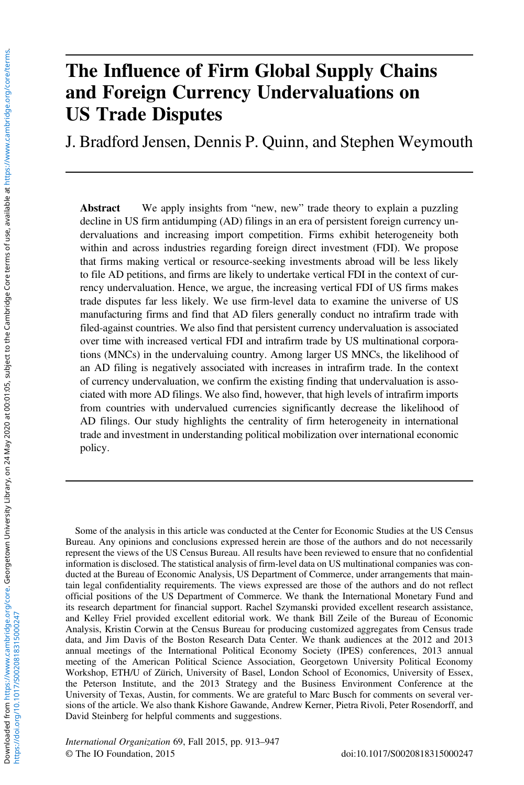# The Influence of Firm Global Supply Chains and Foreign Currency Undervaluations on US Trade Disputes

J. Bradford Jensen, Dennis P. Quinn, and Stephen Weymouth

Abstract We apply insights from "new, new" trade theory to explain a puzzling decline in US firm antidumping (AD) filings in an era of persistent foreign currency undervaluations and increasing import competition. Firms exhibit heterogeneity both within and across industries regarding foreign direct investment (FDI). We propose that firms making vertical or resource-seeking investments abroad will be less likely to file AD petitions, and firms are likely to undertake vertical FDI in the context of currency undervaluation. Hence, we argue, the increasing vertical FDI of US firms makes trade disputes far less likely. We use firm-level data to examine the universe of US manufacturing firms and find that AD filers generally conduct no intrafirm trade with filed-against countries. We also find that persistent currency undervaluation is associated over time with increased vertical FDI and intrafirm trade by US multinational corporations (MNCs) in the undervaluing country. Among larger US MNCs, the likelihood of an AD filing is negatively associated with increases in intrafirm trade. In the context of currency undervaluation, we confirm the existing finding that undervaluation is associated with more AD filings. We also find, however, that high levels of intrafirm imports from countries with undervalued currencies significantly decrease the likelihood of AD filings. Our study highlights the centrality of firm heterogeneity in international trade and investment in understanding political mobilization over international economic policy.

Some of the analysis in this article was conducted at the Center for Economic Studies at the US Census Bureau. Any opinions and conclusions expressed herein are those of the authors and do not necessarily represent the views of the US Census Bureau. All results have been reviewed to ensure that no confidential information is disclosed. The statistical analysis of firm-level data on US multinational companies was conducted at the Bureau of Economic Analysis, US Department of Commerce, under arrangements that maintain legal confidentiality requirements. The views expressed are those of the authors and do not reflect official positions of the US Department of Commerce. We thank the International Monetary Fund and its research department for financial support. Rachel Szymanski provided excellent research assistance, and Kelley Friel provided excellent editorial work. We thank Bill Zeile of the Bureau of Economic Analysis, Kristin Corwin at the Census Bureau for producing customized aggregates from Census trade data, and Jim Davis of the Boston Research Data Center. We thank audiences at the 2012 and 2013 annual meetings of the International Political Economy Society (IPES) conferences, 2013 annual meeting of the American Political Science Association, Georgetown University Political Economy Workshop, ETH/U of Zürich, University of Basel, London School of Economics, University of Essex, the Peterson Institute, and the 2013 Strategy and the Business Environment Conference at the University of Texas, Austin, for comments. We are grateful to Marc Busch for comments on several versions of the article. We also thank Kishore Gawande, Andrew Kerner, Pietra Rivoli, Peter Rosendorff, and David Steinberg for helpful comments and suggestions.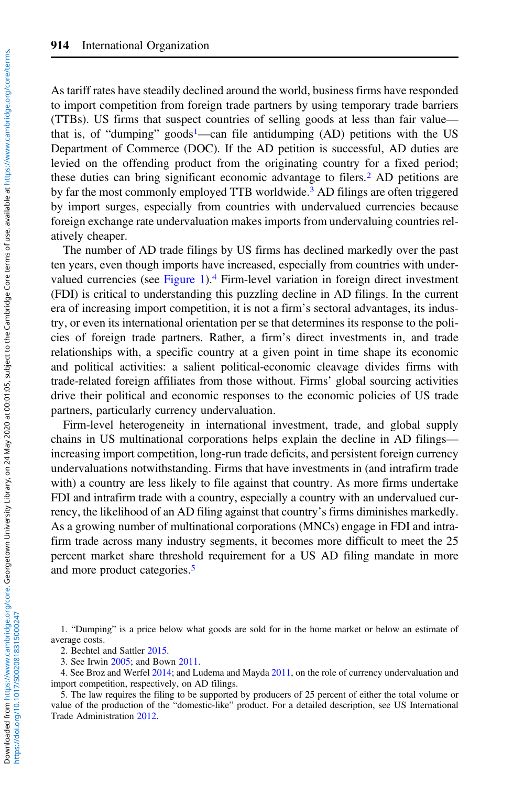As tariff rates have steadily declined around the world, business firms have responded to import competition from foreign trade partners by using temporary trade barriers (TTBs). US firms that suspect countries of selling goods at less than fair value that is, of "dumping" goods<sup>1</sup>—can file antidumping  $(AD)$  petitions with the US Department of Commerce (DOC). If the AD petition is successful, AD duties are levied on the offending product from the originating country for a fixed period; these duties can bring significant economic advantage to filers.<sup>2</sup> AD petitions are by far the most commonly employed TTB worldwide.<sup>3</sup> AD filings are often triggered by import surges, especially from countries with undervalued currencies because foreign exchange rate undervaluation makes imports from undervaluing countries relatively cheaper.

The number of AD trade filings by US firms has declined markedly over the past ten years, even though imports have increased, especially from countries with undervalued currencies (see [Figure 1](#page-2-0)).<sup>4</sup> Firm-level variation in foreign direct investment (FDI) is critical to understanding this puzzling decline in AD filings. In the current era of increasing import competition, it is not a firm's sectoral advantages, its industry, or even its international orientation per se that determines its response to the policies of foreign trade partners. Rather, a firm's direct investments in, and trade relationships with, a specific country at a given point in time shape its economic and political activities: a salient political-economic cleavage divides firms with trade-related foreign affiliates from those without. Firms' global sourcing activities drive their political and economic responses to the economic policies of US trade partners, particularly currency undervaluation.

Firm-level heterogeneity in international investment, trade, and global supply chains in US multinational corporations helps explain the decline in AD filings increasing import competition, long-run trade deficits, and persistent foreign currency undervaluations notwithstanding. Firms that have investments in (and intrafirm trade with) a country are less likely to file against that country. As more firms undertake FDI and intrafirm trade with a country, especially a country with an undervalued currency, the likelihood of an AD filing against that country's firms diminishes markedly. As a growing number of multinational corporations (MNCs) engage in FDI and intrafirm trade across many industry segments, it becomes more difficult to meet the 25 percent market share threshold requirement for a US AD filing mandate in more and more product categories.<sup>5</sup>

<sup>1.</sup> "Dumping" is a price below what goods are sold for in the home market or below an estimate of average costs.

<sup>2.</sup> Bechtel and Sattler [2015](#page-31-0).

<sup>3.</sup> See Irwin [2005](#page-33-0); and Bown [2011](#page-32-0).

<sup>4.</sup> See Broz and Werfel [2014](#page-32-0); and Ludema and Mayda [2011,](#page-33-0) on the role of currency undervaluation and import competition, respectively, on AD filings.

<sup>5.</sup> The law requires the filing to be supported by producers of 25 percent of either the total volume or value of the production of the "domestic-like" product. For a detailed description, see US International Trade Administration [2012.](#page-34-0)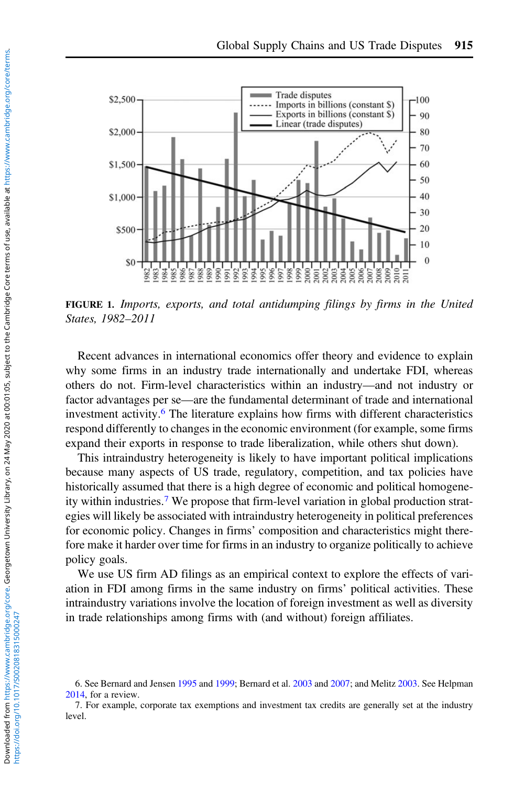<span id="page-2-0"></span>

FIGURE 1. Imports, exports, and total antidumping filings by firms in the United States, 1982–2011

Recent advances in international economics offer theory and evidence to explain why some firms in an industry trade internationally and undertake FDI, whereas others do not. Firm-level characteristics within an industry—and not industry or factor advantages per se—are the fundamental determinant of trade and international investment activity.<sup>6</sup> The literature explains how firms with different characteristics respond differently to changes in the economic environment (for example, some firms expand their exports in response to trade liberalization, while others shut down).

This intraindustry heterogeneity is likely to have important political implications because many aspects of US trade, regulatory, competition, and tax policies have historically assumed that there is a high degree of economic and political homogeneity within industries.<sup>7</sup> We propose that firm-level variation in global production strategies will likely be associated with intraindustry heterogeneity in political preferences for economic policy. Changes in firms' composition and characteristics might therefore make it harder over time for firms in an industry to organize politically to achieve policy goals.

We use US firm AD filings as an empirical context to explore the effects of variation in FDI among firms in the same industry on firms' political activities. These intraindustry variations involve the location of foreign investment as well as diversity in trade relationships among firms with (and without) foreign affiliates.

<sup>6.</sup> See Bernard and Jensen [1995](#page-31-0) and [1999](#page-31-0); Bernard et al. [2003](#page-31-0) and [2007;](#page-32-0) and Melitz [2003](#page-33-0). See Helpman [2014,](#page-32-0) for a review.

<sup>7.</sup> For example, corporate tax exemptions and investment tax credits are generally set at the industry level.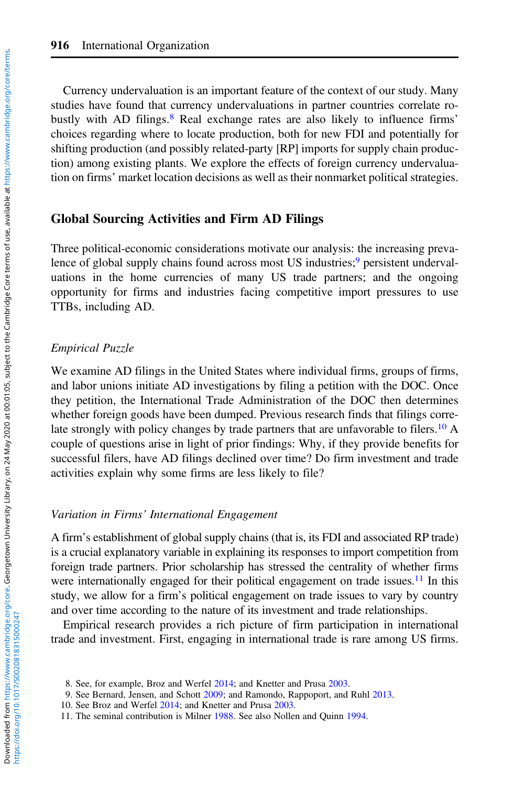Currency undervaluation is an important feature of the context of our study. Many studies have found that currency undervaluations in partner countries correlate robustly with AD filings.<sup>8</sup> Real exchange rates are also likely to influence firms' choices regarding where to locate production, both for new FDI and potentially for shifting production (and possibly related-party [RP] imports for supply chain production) among existing plants. We explore the effects of foreign currency undervaluation on firms' market location decisions as well as their nonmarket political strategies.

# Global Sourcing Activities and Firm AD Filings

Three political-economic considerations motivate our analysis: the increasing prevalence of global supply chains found across most US industries;<sup>9</sup> persistent undervaluations in the home currencies of many US trade partners; and the ongoing opportunity for firms and industries facing competitive import pressures to use TTBs, including AD.

# Empirical Puzzle

We examine AD filings in the United States where individual firms, groups of firms, and labor unions initiate AD investigations by filing a petition with the DOC. Once they petition, the International Trade Administration of the DOC then determines whether foreign goods have been dumped. Previous research finds that filings correlate strongly with policy changes by trade partners that are unfavorable to filers.<sup>10</sup> A couple of questions arise in light of prior findings: Why, if they provide benefits for successful filers, have AD filings declined over time? Do firm investment and trade activities explain why some firms are less likely to file?

#### Variation in Firms' International Engagement

A firm's establishment of global supply chains (that is, its FDI and associated RP trade) is a crucial explanatory variable in explaining its responses to import competition from foreign trade partners. Prior scholarship has stressed the centrality of whether firms were internationally engaged for their political engagement on trade issues.<sup>11</sup> In this study, we allow for a firm's political engagement on trade issues to vary by country and over time according to the nature of its investment and trade relationships.

Empirical research provides a rich picture of firm participation in international trade and investment. First, engaging in international trade is rare among US firms.

<sup>8.</sup> See, for example, Broz and Werfel [2014;](#page-32-0) and Knetter and Prusa [2003.](#page-33-0)

<sup>9.</sup> See Bernard, Jensen, and Schott [2009;](#page-32-0) and Ramondo, Rappoport, and Ruhl [2013](#page-33-0).

<sup>10.</sup> See Broz and Werfel [2014;](#page-32-0) and Knetter and Prusa [2003](#page-33-0).

<sup>11.</sup> The seminal contribution is Milner [1988](#page-33-0). See also Nollen and Quinn [1994.](#page-33-0)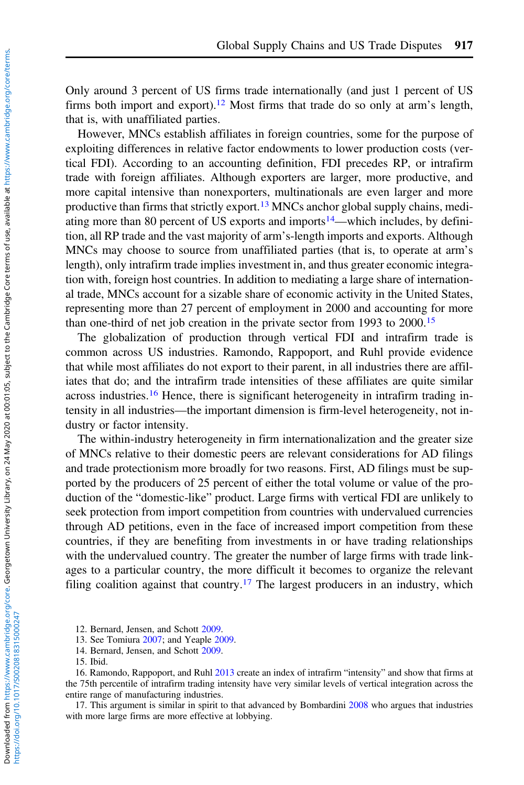Only around 3 percent of US firms trade internationally (and just 1 percent of US firms both import and export).<sup>12</sup> Most firms that trade do so only at arm's length, that is, with unaffiliated parties.

However, MNCs establish affiliates in foreign countries, some for the purpose of exploiting differences in relative factor endowments to lower production costs (vertical FDI). According to an accounting definition, FDI precedes RP, or intrafirm trade with foreign affiliates. Although exporters are larger, more productive, and more capital intensive than nonexporters, multinationals are even larger and more productive than firms that strictly export.<sup>13</sup> MNCs anchor global supply chains, mediating more than 80 percent of US exports and imports<sup>14</sup>—which includes, by definition, all RP trade and the vast majority of arm's-length imports and exports. Although MNCs may choose to source from unaffiliated parties (that is, to operate at arm's length), only intrafirm trade implies investment in, and thus greater economic integration with, foreign host countries. In addition to mediating a large share of international trade, MNCs account for a sizable share of economic activity in the United States, representing more than 27 percent of employment in 2000 and accounting for more than one-third of net job creation in the private sector from 1993 to 2000.<sup>15</sup>

The globalization of production through vertical FDI and intrafirm trade is common across US industries. Ramondo, Rappoport, and Ruhl provide evidence that while most affiliates do not export to their parent, in all industries there are affiliates that do; and the intrafirm trade intensities of these affiliates are quite similar across industries.<sup>16</sup> Hence, there is significant heterogeneity in intrafirm trading intensity in all industries—the important dimension is firm-level heterogeneity, not industry or factor intensity.

The within-industry heterogeneity in firm internationalization and the greater size of MNCs relative to their domestic peers are relevant considerations for AD filings and trade protectionism more broadly for two reasons. First, AD filings must be supported by the producers of 25 percent of either the total volume or value of the production of the "domestic-like" product. Large firms with vertical FDI are unlikely to seek protection from import competition from countries with undervalued currencies through AD petitions, even in the face of increased import competition from these countries, if they are benefiting from investments in or have trading relationships with the undervalued country. The greater the number of large firms with trade linkages to a particular country, the more difficult it becomes to organize the relevant filing coalition against that country.<sup>17</sup> The largest producers in an industry, which

14. Bernard, Jensen, and Schott [2009](#page-32-0).

16. Ramondo, Rappoport, and Ruhl [2013](#page-33-0) create an index of intrafirm "intensity" and show that firms at the 75th percentile of intrafirm trading intensity have very similar levels of vertical integration across the entire range of manufacturing industries.

17. This argument is similar in spirit to that advanced by Bombardini [2008](#page-32-0) who argues that industries with more large firms are more effective at lobbying.

<sup>12.</sup> Bernard, Jensen, and Schott [2009](#page-32-0).

<sup>13.</sup> See Tomiura [2007;](#page-33-0) and Yeaple [2009.](#page-34-0)

<sup>15.</sup> Ibid.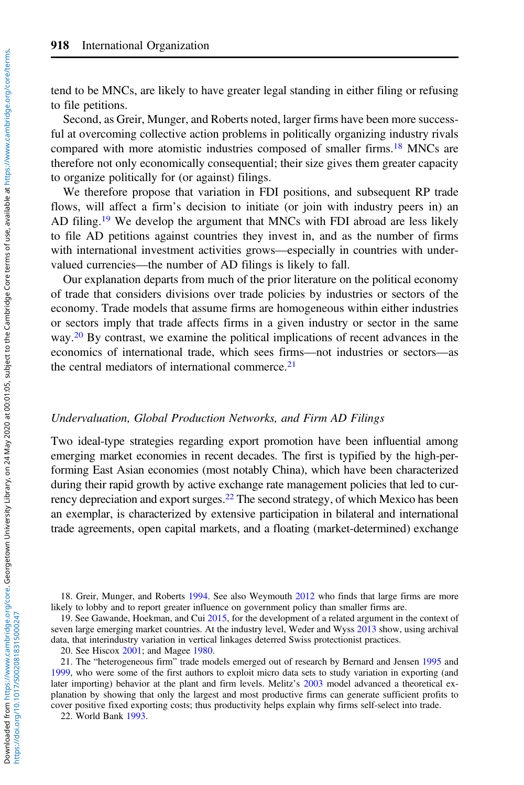tend to be MNCs, are likely to have greater legal standing in either filing or refusing to file petitions.

Second, as Greir, Munger, and Roberts noted, larger firms have been more successful at overcoming collective action problems in politically organizing industry rivals compared with more atomistic industries composed of smaller firms.<sup>18</sup> MNCs are therefore not only economically consequential; their size gives them greater capacity to organize politically for (or against) filings.

We therefore propose that variation in FDI positions, and subsequent RP trade flows, will affect a firm's decision to initiate (or join with industry peers in) an AD filing.<sup>19</sup> We develop the argument that MNCs with FDI abroad are less likely to file AD petitions against countries they invest in, and as the number of firms with international investment activities grows—especially in countries with undervalued currencies—the number of AD filings is likely to fall.

Our explanation departs from much of the prior literature on the political economy of trade that considers divisions over trade policies by industries or sectors of the economy. Trade models that assume firms are homogeneous within either industries or sectors imply that trade affects firms in a given industry or sector in the same way.<sup>20</sup> By contrast, we examine the political implications of recent advances in the economics of international trade, which sees firms—not industries or sectors—as the central mediators of international commerce. $2<sup>1</sup>$ 

#### Undervaluation, Global Production Networks, and Firm AD Filings

Two ideal-type strategies regarding export promotion have been influential among emerging market economies in recent decades. The first is typified by the high-performing East Asian economies (most notably China), which have been characterized during their rapid growth by active exchange rate management policies that led to currency depreciation and export surges.<sup>22</sup> The second strategy, of which Mexico has been an exemplar, is characterized by extensive participation in bilateral and international trade agreements, open capital markets, and a floating (market-determined) exchange

18. Greir, Munger, and Roberts [1994](#page-32-0). See also Weymouth [2012](#page-34-0) who finds that large firms are more likely to lobby and to report greater influence on government policy than smaller firms are.

19. See Gawande, Hoekman, and Cui [2015](#page-32-0), for the development of a related argument in the context of seven large emerging market countries. At the industry level, Weder and Wyss [2013](#page-34-0) show, using archival data, that interindustry variation in vertical linkages deterred Swiss protectionist practices.

22. World Bank [1993](#page-34-0).

<sup>20.</sup> See Hiscox [2001;](#page-32-0) and Magee [1980](#page-33-0).

<sup>21.</sup> The "heterogeneous firm" trade models emerged out of research by Bernard and Jensen [1995](#page-31-0) and [1999,](#page-31-0) who were some of the first authors to exploit micro data sets to study variation in exporting (and later importing) behavior at the plant and firm levels. Melitz's [2003](#page-33-0) model advanced a theoretical explanation by showing that only the largest and most productive firms can generate sufficient profits to cover positive fixed exporting costs; thus productivity helps explain why firms self-select into trade.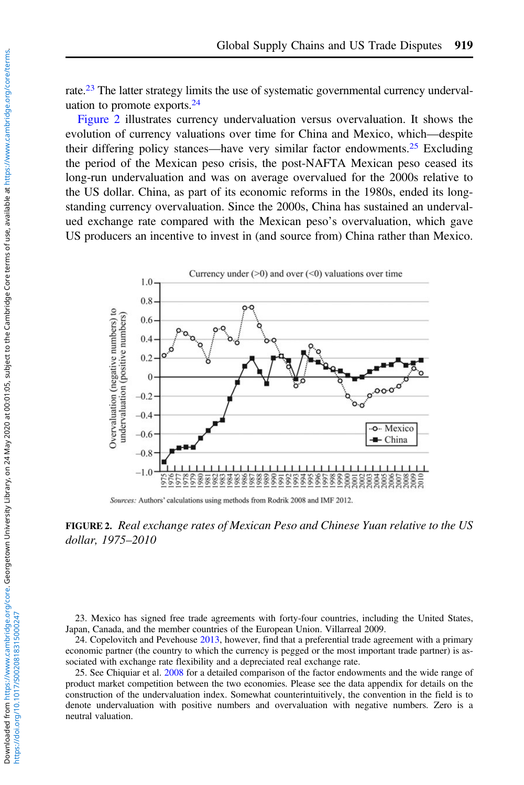rate.<sup>23</sup> The latter strategy limits the use of systematic governmental currency undervaluation to promote exports. $24$ 

Figure 2 illustrates currency undervaluation versus overvaluation. It shows the evolution of currency valuations over time for China and Mexico, which—despite their differing policy stances—have very similar factor endowments.<sup>25</sup> Excluding the period of the Mexican peso crisis, the post-NAFTA Mexican peso ceased its long-run undervaluation and was on average overvalued for the 2000s relative to the US dollar. China, as part of its economic reforms in the 1980s, ended its longstanding currency overvaluation. Since the 2000s, China has sustained an undervalued exchange rate compared with the Mexican peso's overvaluation, which gave US producers an incentive to invest in (and source from) China rather than Mexico.



Sources: Authors' calculations using methods from Rodrik 2008 and IMF 2012.

FIGURE 2. Real exchange rates of Mexican Peso and Chinese Yuan relative to the US dollar, 1975–2010

23. Mexico has signed free trade agreements with forty-four countries, including the United States, Japan, Canada, and the member countries of the European Union. Villarreal 2009.

24. Copelovitch and Pevehouse [2013](#page-32-0), however, find that a preferential trade agreement with a primary economic partner (the country to which the currency is pegged or the most important trade partner) is associated with exchange rate flexibility and a depreciated real exchange rate.

25. See Chiquiar et al. [2008](#page-32-0) for a detailed comparison of the factor endowments and the wide range of product market competition between the two economies. Please see the data appendix for details on the construction of the undervaluation index. Somewhat counterintuitively, the convention in the field is to denote undervaluation with positive numbers and overvaluation with negative numbers. Zero is a neutral valuation.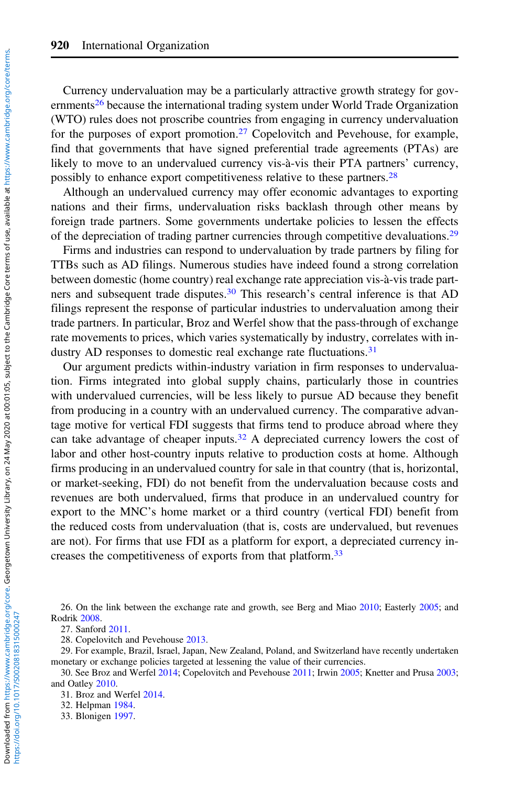Currency undervaluation may be a particularly attractive growth strategy for governments<sup>26</sup> because the international trading system under World Trade Organization (WTO) rules does not proscribe countries from engaging in currency undervaluation for the purposes of export promotion.<sup>27</sup> Copelovitch and Pevehouse, for example, find that governments that have signed preferential trade agreements (PTAs) are likely to move to an undervalued currency vis-à-vis their PTA partners' currency, possibly to enhance export competitiveness relative to these partners.<sup>28</sup>

Although an undervalued currency may offer economic advantages to exporting nations and their firms, undervaluation risks backlash through other means by foreign trade partners. Some governments undertake policies to lessen the effects of the depreciation of trading partner currencies through competitive devaluations.<sup>29</sup>

Firms and industries can respond to undervaluation by trade partners by filing for TTBs such as AD filings. Numerous studies have indeed found a strong correlation between domestic (home country) real exchange rate appreciation vis-à-vis trade partners and subsequent trade disputes.<sup>30</sup> This research's central inference is that AD filings represent the response of particular industries to undervaluation among their trade partners. In particular, Broz and Werfel show that the pass-through of exchange rate movements to prices, which varies systematically by industry, correlates with industry AD responses to domestic real exchange rate fluctuations.<sup>31</sup>

Our argument predicts within-industry variation in firm responses to undervaluation. Firms integrated into global supply chains, particularly those in countries with undervalued currencies, will be less likely to pursue AD because they benefit from producing in a country with an undervalued currency. The comparative advantage motive for vertical FDI suggests that firms tend to produce abroad where they can take advantage of cheaper inputs.<sup>32</sup> A depreciated currency lowers the cost of labor and other host-country inputs relative to production costs at home. Although firms producing in an undervalued country for sale in that country (that is, horizontal, or market-seeking, FDI) do not benefit from the undervaluation because costs and revenues are both undervalued, firms that produce in an undervalued country for export to the MNC's home market or a third country (vertical FDI) benefit from the reduced costs from undervaluation (that is, costs are undervalued, but revenues are not). For firms that use FDI as a platform for export, a depreciated currency increases the competitiveness of exports from that platform.<sup>33</sup>

33. Blonigen [1997.](#page-32-0)

<sup>26.</sup> On the link between the exchange rate and growth, see Berg and Miao [2010](#page-31-0); Easterly [2005;](#page-32-0) and Rodrik [2008](#page-33-0).

<sup>27.</sup> Sanford [2011.](#page-33-0)

<sup>28.</sup> Copelovitch and Pevehouse [2013.](#page-32-0)

<sup>29.</sup> For example, Brazil, Israel, Japan, New Zealand, Poland, and Switzerland have recently undertaken monetary or exchange policies targeted at lessening the value of their currencies.

<sup>30.</sup> See Broz and Werfel [2014;](#page-32-0) Copelovitch and Pevehouse [2011](#page-32-0); Irwin [2005;](#page-33-0) Knetter and Prusa [2003;](#page-33-0) and Oatley [2010](#page-33-0).

<sup>31.</sup> Broz and Werfel [2014](#page-32-0).

<sup>32.</sup> Helpman [1984.](#page-32-0)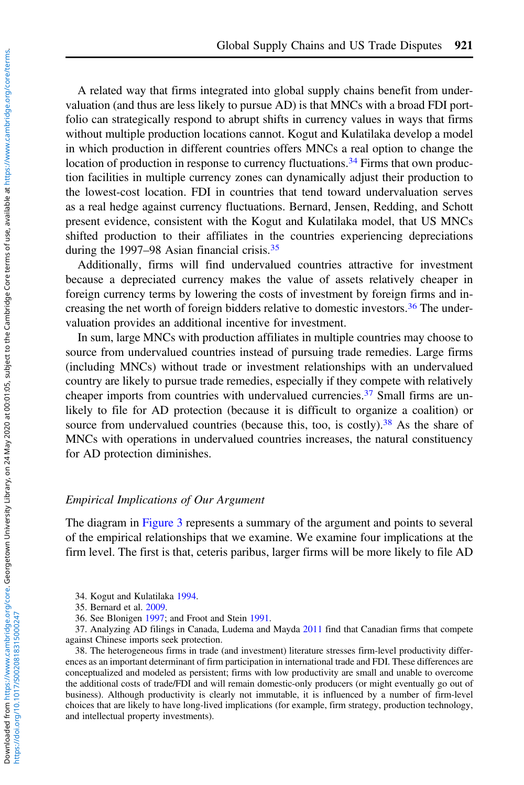A related way that firms integrated into global supply chains benefit from undervaluation (and thus are less likely to pursue AD) is that MNCs with a broad FDI portfolio can strategically respond to abrupt shifts in currency values in ways that firms without multiple production locations cannot. Kogut and Kulatilaka develop a model in which production in different countries offers MNCs a real option to change the location of production in response to currency fluctuations.<sup>34</sup> Firms that own production facilities in multiple currency zones can dynamically adjust their production to the lowest-cost location. FDI in countries that tend toward undervaluation serves as a real hedge against currency fluctuations. Bernard, Jensen, Redding, and Schott present evidence, consistent with the Kogut and Kulatilaka model, that US MNCs shifted production to their affiliates in the countries experiencing depreciations during the 1997–98 Asian financial crisis.<sup>35</sup>

Additionally, firms will find undervalued countries attractive for investment because a depreciated currency makes the value of assets relatively cheaper in foreign currency terms by lowering the costs of investment by foreign firms and increasing the net worth of foreign bidders relative to domestic investors.<sup>36</sup> The undervaluation provides an additional incentive for investment.

In sum, large MNCs with production affiliates in multiple countries may choose to source from undervalued countries instead of pursuing trade remedies. Large firms (including MNCs) without trade or investment relationships with an undervalued country are likely to pursue trade remedies, especially if they compete with relatively cheaper imports from countries with undervalued currencies.<sup>37</sup> Small firms are unlikely to file for AD protection (because it is difficult to organize a coalition) or source from undervalued countries (because this, too, is costly).<sup>38</sup> As the share of MNCs with operations in undervalued countries increases, the natural constituency for AD protection diminishes.

# Empirical Implications of Our Argument

The diagram in [Figure 3](#page-9-0) represents a summary of the argument and points to several of the empirical relationships that we examine. We examine four implications at the firm level. The first is that, ceteris paribus, larger firms will be more likely to file AD

38. The heterogeneous firms in trade (and investment) literature stresses firm-level productivity differences as an important determinant of firm participation in international trade and FDI. These differences are conceptualized and modeled as persistent; firms with low productivity are small and unable to overcome the additional costs of trade/FDI and will remain domestic-only producers (or might eventually go out of business). Although productivity is clearly not immutable, it is influenced by a number of firm-level choices that are likely to have long-lived implications (for example, firm strategy, production technology, and intellectual property investments).

<sup>34.</sup> Kogut and Kulatilaka [1994.](#page-33-0)

<sup>35.</sup> Bernard et al. [2009](#page-32-0).

<sup>36.</sup> See Blonigen [1997;](#page-32-0) and Froot and Stein [1991.](#page-32-0)

<sup>37.</sup> Analyzing AD filings in Canada, Ludema and Mayda [2011](#page-33-0) find that Canadian firms that compete against Chinese imports seek protection.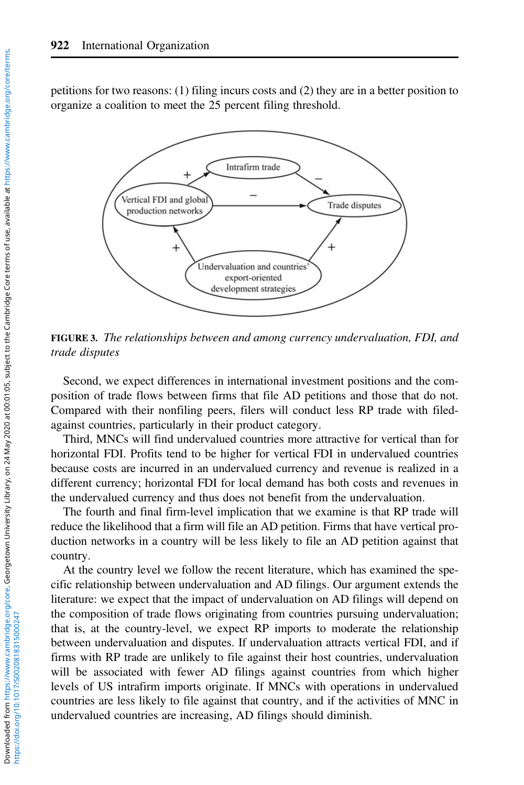<span id="page-9-0"></span>petitions for two reasons: (1) filing incurs costs and (2) they are in a better position to organize a coalition to meet the 25 percent filing threshold.



FIGURE 3. The relationships between and among currency undervaluation, FDI, and trade disputes

Second, we expect differences in international investment positions and the composition of trade flows between firms that file AD petitions and those that do not. Compared with their nonfiling peers, filers will conduct less RP trade with filedagainst countries, particularly in their product category.

Third, MNCs will find undervalued countries more attractive for vertical than for horizontal FDI. Profits tend to be higher for vertical FDI in undervalued countries because costs are incurred in an undervalued currency and revenue is realized in a different currency; horizontal FDI for local demand has both costs and revenues in the undervalued currency and thus does not benefit from the undervaluation.

The fourth and final firm-level implication that we examine is that RP trade will reduce the likelihood that a firm will file an AD petition. Firms that have vertical production networks in a country will be less likely to file an AD petition against that country.

At the country level we follow the recent literature, which has examined the specific relationship between undervaluation and AD filings. Our argument extends the literature: we expect that the impact of undervaluation on AD filings will depend on the composition of trade flows originating from countries pursuing undervaluation; that is, at the country-level, we expect RP imports to moderate the relationship between undervaluation and disputes. If undervaluation attracts vertical FDI, and if firms with RP trade are unlikely to file against their host countries, undervaluation will be associated with fewer AD filings against countries from which higher levels of US intrafirm imports originate. If MNCs with operations in undervalued countries are less likely to file against that country, and if the activities of MNC in undervalued countries are increasing, AD filings should diminish.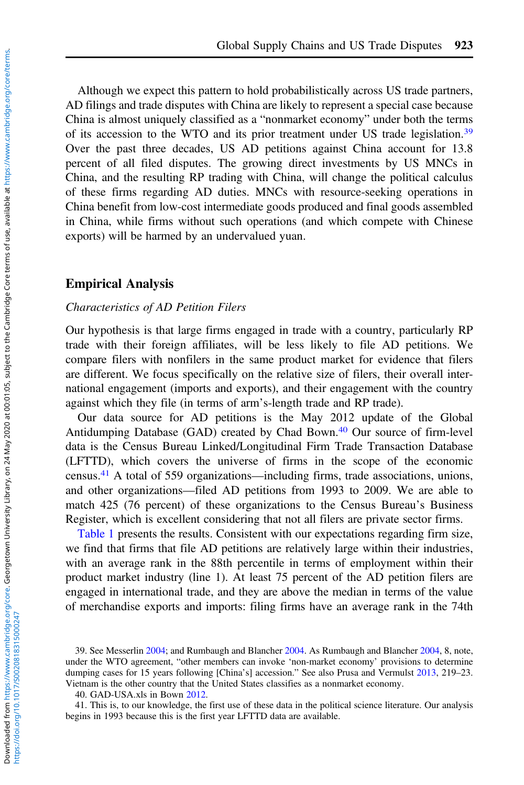Although we expect this pattern to hold probabilistically across US trade partners, AD filings and trade disputes with China are likely to represent a special case because China is almost uniquely classified as a "nonmarket economy" under both the terms of its accession to the WTO and its prior treatment under US trade legislation.<sup>39</sup> Over the past three decades, US AD petitions against China account for 13.8 percent of all filed disputes. The growing direct investments by US MNCs in China, and the resulting RP trading with China, will change the political calculus of these firms regarding AD duties. MNCs with resource-seeking operations in China benefit from low-cost intermediate goods produced and final goods assembled in China, while firms without such operations (and which compete with Chinese exports) will be harmed by an undervalued yuan.

# Empirical Analysis

## Characteristics of AD Petition Filers

Our hypothesis is that large firms engaged in trade with a country, particularly RP trade with their foreign affiliates, will be less likely to file AD petitions. We compare filers with nonfilers in the same product market for evidence that filers are different. We focus specifically on the relative size of filers, their overall international engagement (imports and exports), and their engagement with the country against which they file (in terms of arm's-length trade and RP trade).

Our data source for AD petitions is the May 2012 update of the Global Antidumping Database (GAD) created by Chad Bown.<sup>40</sup> Our source of firm-level data is the Census Bureau Linked/Longitudinal Firm Trade Transaction Database (LFTTD), which covers the universe of firms in the scope of the economic census.<sup>41</sup> A total of 559 organizations—including firms, trade associations, unions, and other organizations—filed AD petitions from 1993 to 2009. We are able to match 425 (76 percent) of these organizations to the Census Bureau's Business Register, which is excellent considering that not all filers are private sector firms.

[Table 1](#page-11-0) presents the results. Consistent with our expectations regarding firm size, we find that firms that file AD petitions are relatively large within their industries, with an average rank in the 88th percentile in terms of employment within their product market industry (line 1). At least 75 percent of the AD petition filers are engaged in international trade, and they are above the median in terms of the value of merchandise exports and imports: filing firms have an average rank in the 74th

<sup>39.</sup> See Messerlin [2004](#page-33-0); and Rumbaugh and Blancher [2004.](#page-33-0) As Rumbaugh and Blancher [2004](#page-33-0), 8, note, under the WTO agreement, "other members can invoke 'non-market economy' provisions to determine dumping cases for 15 years following [China's] accession." See also Prusa and Vermulst [2013,](#page-33-0) 219–23. Vietnam is the other country that the United States classifies as a nonmarket economy.

<sup>40.</sup> GAD-USA.xls in Bown [2012.](#page-32-0)

<sup>41.</sup> This is, to our knowledge, the first use of these data in the political science literature. Our analysis begins in 1993 because this is the first year LFTTD data are available.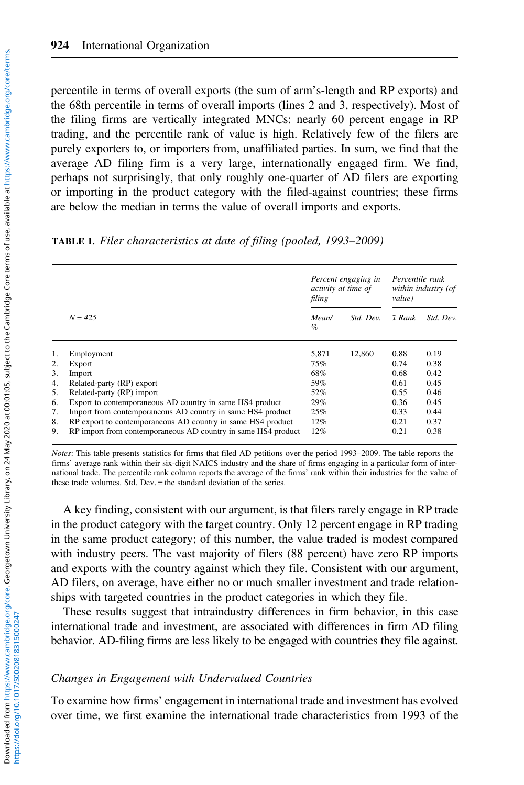<span id="page-11-0"></span>percentile in terms of overall exports (the sum of arm's-length and RP exports) and the 68th percentile in terms of overall imports (lines 2 and 3, respectively). Most of the filing firms are vertically integrated MNCs: nearly 60 percent engage in RP trading, and the percentile rank of value is high. Relatively few of the filers are purely exporters to, or importers from, unaffiliated parties. In sum, we find that the average AD filing firm is a very large, internationally engaged firm. We find, perhaps not surprisingly, that only roughly one-quarter of AD filers are exporting or importing in the product category with the filed-against countries; these firms are below the median in terms the value of overall imports and exports.

|    |                                                               | Percent engaging in<br>activity at time of<br>filing |           | Percentile rank<br>within industry (of<br>value) |           |
|----|---------------------------------------------------------------|------------------------------------------------------|-----------|--------------------------------------------------|-----------|
|    | $N = 425$                                                     | Mean/<br>$\%$                                        | Std. Dev. | $\bar{x}$ Rank                                   | Std. Dev. |
| 1. | Employment                                                    | 5,871                                                | 12,860    | 0.88                                             | 0.19      |
| 2. | Export                                                        | 75%                                                  |           | 0.74                                             | 0.38      |
| 3. | Import                                                        | 68%                                                  |           | 0.68                                             | 0.42      |
| 4. | Related-party (RP) export                                     | 59%                                                  |           | 0.61                                             | 0.45      |
| 5. | Related-party (RP) import                                     | 52%                                                  |           | 0.55                                             | 0.46      |
| 6. | Export to contemporaneous AD country in same HS4 product      | 29%                                                  |           | 0.36                                             | 0.45      |
| 7. | Import from contemporaneous AD country in same HS4 product    | 25%                                                  |           | 0.33                                             | 0.44      |
| 8. | RP export to contemporaneous AD country in same HS4 product   | 12%                                                  |           | 0.21                                             | 0.37      |
| 9. | RP import from contemporaneous AD country in same HS4 product | 12%                                                  |           | 0.21                                             | 0.38      |

| TABLE 1. Filer characteristics at date of filing (pooled, 1993-2009) |  |  |
|----------------------------------------------------------------------|--|--|
|----------------------------------------------------------------------|--|--|

Notes: This table presents statistics for firms that filed AD petitions over the period 1993–2009. The table reports the firms' average rank within their six-digit NAICS industry and the share of firms engaging in a particular form of international trade. The percentile rank column reports the average of the firms' rank within their industries for the value of these trade volumes. Std. Dev. = the standard deviation of the series.

A key finding, consistent with our argument, is that filers rarely engage in RP trade in the product category with the target country. Only 12 percent engage in RP trading in the same product category; of this number, the value traded is modest compared with industry peers. The vast majority of filers (88 percent) have zero RP imports and exports with the country against which they file. Consistent with our argument, AD filers, on average, have either no or much smaller investment and trade relationships with targeted countries in the product categories in which they file.

These results suggest that intraindustry differences in firm behavior, in this case international trade and investment, are associated with differences in firm AD filing behavior. AD-filing firms are less likely to be engaged with countries they file against.

#### Changes in Engagement with Undervalued Countries

To examine how firms' engagement in international trade and investment has evolved over time, we first examine the international trade characteristics from 1993 of the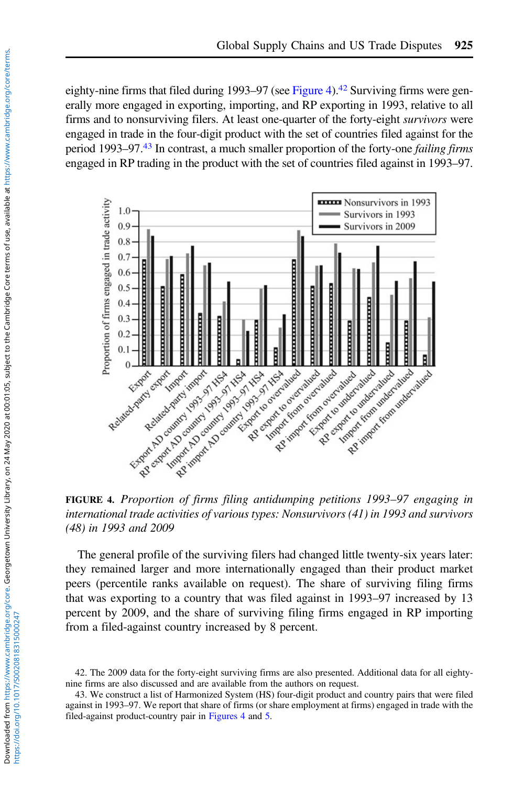<span id="page-12-0"></span>eighty-nine firms that filed during 1993–97 (see Figure 4).<sup>42</sup> Surviving firms were generally more engaged in exporting, importing, and RP exporting in 1993, relative to all firms and to nonsurviving filers. At least one-quarter of the forty-eight *survivors* were engaged in trade in the four-digit product with the set of countries filed against for the period 1993–97.43 In contrast, a much smaller proportion of the forty-one failing firms engaged in RP trading in the product with the set of countries filed against in 1993–97.



international trade activities of various types: Nonsurvivors (41) in 1993 and survivors (48) in 1993 and 2009

The general profile of the surviving filers had changed little twenty-six years later: they remained larger and more internationally engaged than their product market peers (percentile ranks available on request). The share of surviving filing firms that was exporting to a country that was filed against in 1993–97 increased by 13 percent by 2009, and the share of surviving filing firms engaged in RP importing from a filed-against country increased by 8 percent.

<sup>42.</sup> The 2009 data for the forty-eight surviving firms are also presented. Additional data for all eightynine firms are also discussed and are available from the authors on request.

<sup>43.</sup> We construct a list of Harmonized System (HS) four-digit product and country pairs that were filed against in 1993–97. We report that share of firms (or share employment at firms) engaged in trade with the filed-against product-country pair in Figures 4 and [5](#page-13-0).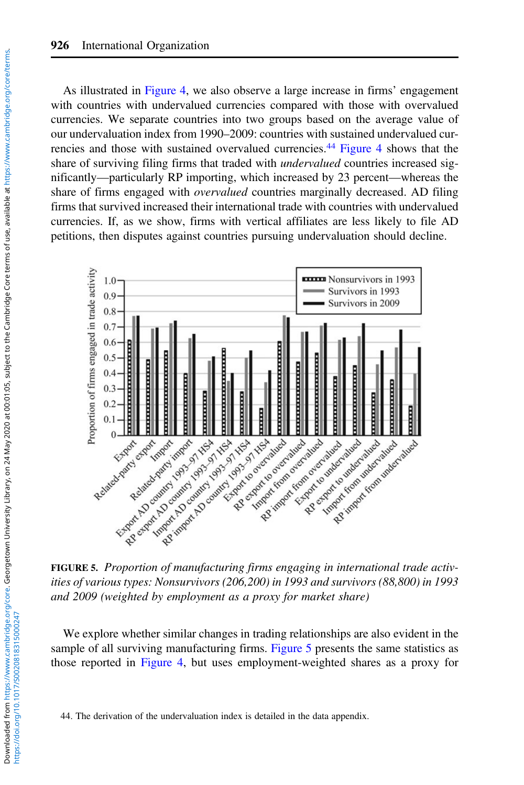<span id="page-13-0"></span>As illustrated in [Figure 4](#page-12-0), we also observe a large increase in firms' engagement with countries with undervalued currencies compared with those with overvalued currencies. We separate countries into two groups based on the average value of our undervaluation index from 1990–2009: countries with sustained undervalued cur-rencies and those with sustained overvalued currencies.<sup>44</sup> [Figure 4](#page-12-0) shows that the share of surviving filing firms that traded with *undervalued* countries increased significantly—particularly RP importing, which increased by 23 percent—whereas the share of firms engaged with *overvalued* countries marginally decreased. AD filing firms that survived increased their international trade with countries with undervalued currencies. If, as we show, firms with vertical affiliates are less likely to file AD petitions, then disputes against countries pursuing undervaluation should decline.



ities of various types: Nonsurvivors (206,200) in 1993 and survivors (88,800) in 1993 and 2009 (weighted by employment as a proxy for market share)

We explore whether similar changes in trading relationships are also evident in the sample of all surviving manufacturing firms. Figure 5 presents the same statistics as those reported in [Figure 4](#page-12-0), but uses employment-weighted shares as a proxy for

44. The derivation of the undervaluation index is detailed in the data appendix.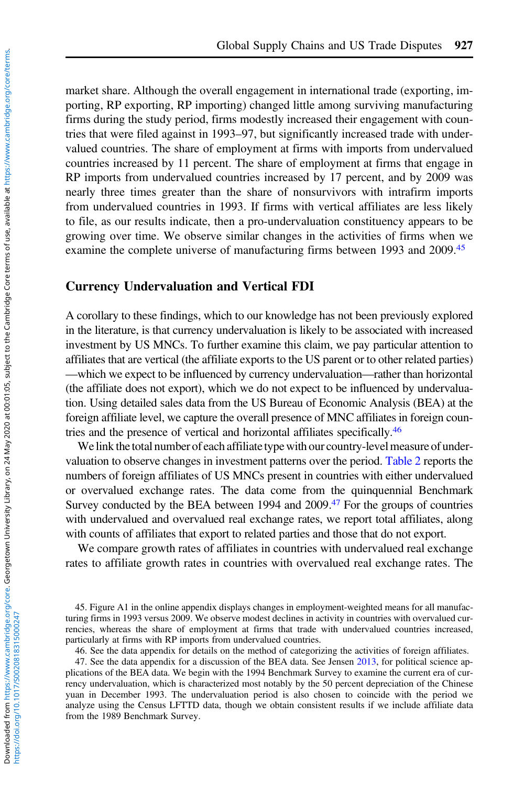market share. Although the overall engagement in international trade (exporting, importing, RP exporting, RP importing) changed little among surviving manufacturing firms during the study period, firms modestly increased their engagement with countries that were filed against in 1993–97, but significantly increased trade with undervalued countries. The share of employment at firms with imports from undervalued countries increased by 11 percent. The share of employment at firms that engage in RP imports from undervalued countries increased by 17 percent, and by 2009 was nearly three times greater than the share of nonsurvivors with intrafirm imports from undervalued countries in 1993. If firms with vertical affiliates are less likely to file, as our results indicate, then a pro-undervaluation constituency appears to be growing over time. We observe similar changes in the activities of firms when we examine the complete universe of manufacturing firms between 1993 and 2009.<sup>45</sup>

# Currency Undervaluation and Vertical FDI

A corollary to these findings, which to our knowledge has not been previously explored in the literature, is that currency undervaluation is likely to be associated with increased investment by US MNCs. To further examine this claim, we pay particular attention to affiliates that are vertical (the affiliate exports to the US parent or to other related parties) —which we expect to be influenced by currency undervaluation—rather than horizontal (the affiliate does not export), which we do not expect to be influenced by undervaluation. Using detailed sales data from the US Bureau of Economic Analysis (BEA) at the foreign affiliate level, we capture the overall presence of MNC affiliates in foreign countries and the presence of vertical and horizontal affiliates specifically.<sup>46</sup>

We link the total number of each affiliate type with our country-level measure of undervaluation to observe changes in investment patterns over the period. [Table 2](#page-15-0) reports the numbers of foreign affiliates of US MNCs present in countries with either undervalued or overvalued exchange rates. The data come from the quinquennial Benchmark Survey conducted by the BEA between 1994 and  $2009<sup>47</sup>$  For the groups of countries with undervalued and overvalued real exchange rates, we report total affiliates, along with counts of affiliates that export to related parties and those that do not export.

We compare growth rates of affiliates in countries with undervalued real exchange rates to affiliate growth rates in countries with overvalued real exchange rates. The

<sup>45.</sup> Figure A1 in the online appendix displays changes in employment-weighted means for all manufacturing firms in 1993 versus 2009. We observe modest declines in activity in countries with overvalued currencies, whereas the share of employment at firms that trade with undervalued countries increased, particularly at firms with RP imports from undervalued countries.

<sup>46.</sup> See the data appendix for details on the method of categorizing the activities of foreign affiliates.

<sup>47.</sup> See the data appendix for a discussion of the BEA data. See Jensen [2013](#page-33-0), for political science applications of the BEA data. We begin with the 1994 Benchmark Survey to examine the current era of currency undervaluation, which is characterized most notably by the 50 percent depreciation of the Chinese yuan in December 1993. The undervaluation period is also chosen to coincide with the period we analyze using the Census LFTTD data, though we obtain consistent results if we include affiliate data from the 1989 Benchmark Survey.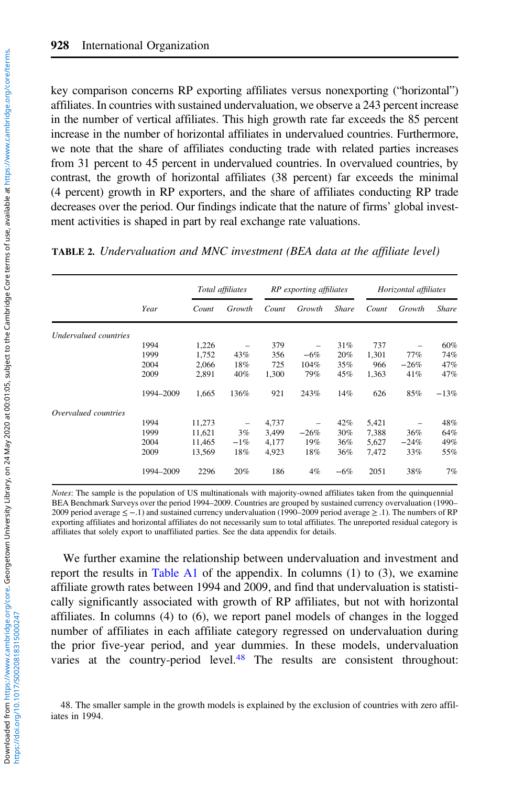<span id="page-15-0"></span>key comparison concerns RP exporting affiliates versus nonexporting ("horizontal") affiliates. In countries with sustained undervaluation, we observe a 243 percent increase in the number of vertical affiliates. This high growth rate far exceeds the 85 percent increase in the number of horizontal affiliates in undervalued countries. Furthermore, we note that the share of affiliates conducting trade with related parties increases from 31 percent to 45 percent in undervalued countries. In overvalued countries, by contrast, the growth of horizontal affiliates (38 percent) far exceeds the minimal (4 percent) growth in RP exporters, and the share of affiliates conducting RP trade decreases over the period. Our findings indicate that the nature of firms' global investment activities is shaped in part by real exchange rate valuations.

|                       | Year      |        | Total affiliates<br>RP exporting affiliates |       | Horizontal affiliates |              |       |        |        |
|-----------------------|-----------|--------|---------------------------------------------|-------|-----------------------|--------------|-------|--------|--------|
|                       |           | Count  | Growth                                      | Count | Growth                | <b>Share</b> | Count | Growth | Share  |
| Undervalued countries |           |        |                                             |       |                       |              |       |        |        |
|                       | 1994      | 1,226  |                                             | 379   |                       | 31%          | 737   |        | 60%    |
|                       | 1999      | 1.752  | 43%                                         | 356   | $-6\%$                | 20%          | 1.301 | 77%    | 74%    |
|                       | 2004      | 2,066  | 18%                                         | 725   | 104%                  | 35%          | 966   | $-26%$ | 47%    |
|                       | 2009      | 2,891  | 40%                                         | 1,300 | 79%                   | 45%          | 1,363 | 41%    | 47%    |
|                       | 1994-2009 | 1,665  | 136%                                        | 921   | 243%                  | 14%          | 626   | 85%    | $-13%$ |
| Overvalued countries  |           |        |                                             |       |                       |              |       |        |        |
|                       | 1994      | 11,273 |                                             | 4,737 |                       | 42%          | 5,421 |        | 48%    |
|                       | 1999      | 11,621 | 3%                                          | 3,499 | $-26%$                | 30%          | 7,388 | 36%    | 64%    |
|                       | 2004      | 11.465 | $-1%$                                       | 4,177 | 19%                   | 36%          | 5,627 | $-24%$ | 49%    |
|                       | 2009      | 13.569 | 18%                                         | 4,923 | 18%                   | 36%          | 7.472 | 33%    | 55%    |
|                       | 1994-2009 | 2296   | 20%                                         | 186   | $4\%$                 | $-6%$        | 2051  | 38%    | 7%     |

TABLE 2. Undervaluation and MNC investment (BEA data at the affiliate level)

Notes: The sample is the population of US multinationals with majority-owned affiliates taken from the quinquennial BEA Benchmark Surveys over the period 1994–2009. Countries are grouped by sustained currency overvaluation (1990– 2009 period average ≤ −.1) and sustained currency undervaluation (1990–2009 period average ≥ .1). The numbers of RP exporting affiliates and horizontal affiliates do not necessarily sum to total affiliates. The unreported residual category is affiliates that solely export to unaffiliated parties. See the data appendix for details.

We further examine the relationship between undervaluation and investment and report the results in [Table A1](#page-28-0) of the appendix. In columns  $(1)$  to  $(3)$ , we examine affiliate growth rates between 1994 and 2009, and find that undervaluation is statistically significantly associated with growth of RP affiliates, but not with horizontal affiliates. In columns (4) to (6), we report panel models of changes in the logged number of affiliates in each affiliate category regressed on undervaluation during the prior five-year period, and year dummies. In these models, undervaluation varies at the country-period level.<sup>48</sup> The results are consistent throughout:

<sup>48.</sup> The smaller sample in the growth models is explained by the exclusion of countries with zero affiliates in 1994.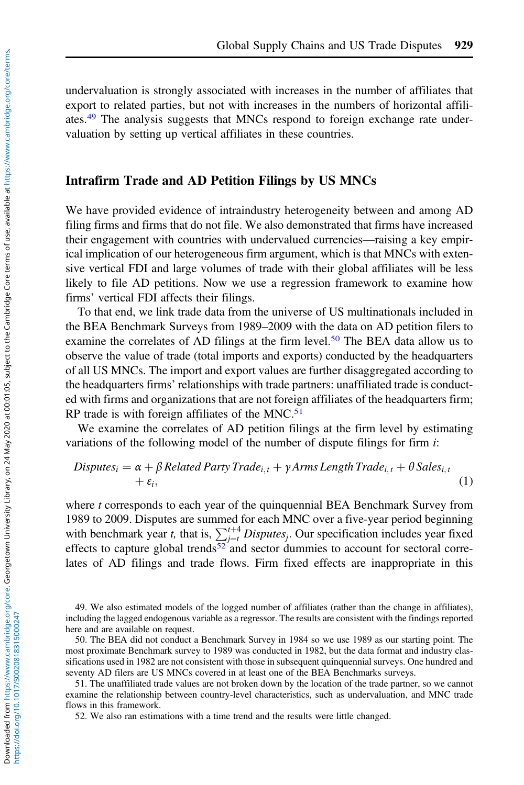undervaluation is strongly associated with increases in the number of affiliates that export to related parties, but not with increases in the numbers of horizontal affiliates.<sup>49</sup> The analysis suggests that MNCs respond to foreign exchange rate undervaluation by setting up vertical affiliates in these countries.

# Intrafirm Trade and AD Petition Filings by US MNCs

We have provided evidence of intraindustry heterogeneity between and among AD filing firms and firms that do not file. We also demonstrated that firms have increased their engagement with countries with undervalued currencies—raising a key empirical implication of our heterogeneous firm argument, which is that MNCs with extensive vertical FDI and large volumes of trade with their global affiliates will be less likely to file AD petitions. Now we use a regression framework to examine how firms' vertical FDI affects their filings.

To that end, we link trade data from the universe of US multinationals included in the BEA Benchmark Surveys from 1989–2009 with the data on AD petition filers to examine the correlates of AD filings at the firm level.<sup>50</sup> The BEA data allow us to observe the value of trade (total imports and exports) conducted by the headquarters of all US MNCs. The import and export values are further disaggregated according to the headquarters firms' relationships with trade partners: unaffiliated trade is conducted with firms and organizations that are not foreign affiliates of the headquarters firm; RP trade is with foreign affiliates of the MNC. $51$ 

We examine the correlates of AD petition filings at the firm level by estimating variations of the following model of the number of dispute filings for firm  $\ddot{i}$ :

$$
Disputes_i = \alpha + \beta Related Party Trade_{i,t} + \gamma Arms Length Trade_{i,t} + \theta Sales_{i,t} + \varepsilon_i,
$$
\n(1)

where  $t$  corresponds to each year of the quinquennial BEA Benchmark Survey from 1989 to 2009. Disputes are summed for each MNC over a five-year period beginning with benchmark year t, that is,  $\sum_{i=1}^{t+4} Disputes_j$ . Our specification includes year fixed effects to capture global trends<sup>52</sup> and sector dummies to account for sectoral correlates of AD filings and trade flows. Firm fixed effects are inappropriate in this

51. The unaffiliated trade values are not broken down by the location of the trade partner, so we cannot examine the relationship between country-level characteristics, such as undervaluation, and MNC trade flows in this framework.

52. We also ran estimations with a time trend and the results were little changed.

<sup>49.</sup> We also estimated models of the logged number of affiliates (rather than the change in affiliates), including the lagged endogenous variable as a regressor. The results are consistent with the findings reported here and are available on request.

<sup>50.</sup> The BEA did not conduct a Benchmark Survey in 1984 so we use 1989 as our starting point. The most proximate Benchmark survey to 1989 was conducted in 1982, but the data format and industry classifications used in 1982 are not consistent with those in subsequent quinquennial surveys. One hundred and seventy AD filers are US MNCs covered in at least one of the BEA Benchmarks surveys.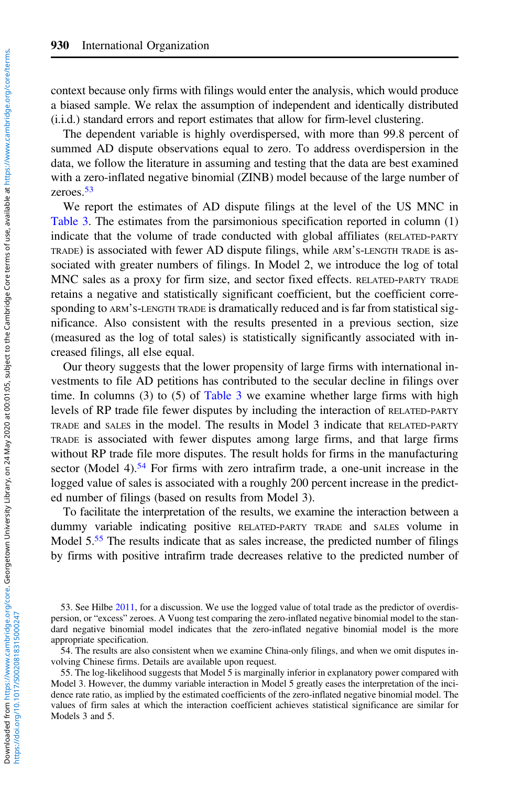context because only firms with filings would enter the analysis, which would produce a biased sample. We relax the assumption of independent and identically distributed (i.i.d.) standard errors and report estimates that allow for firm-level clustering.

The dependent variable is highly overdispersed, with more than 99.8 percent of summed AD dispute observations equal to zero. To address overdispersion in the data, we follow the literature in assuming and testing that the data are best examined with a zero-inflated negative binomial (ZINB) model because of the large number of zeroes.<sup>53</sup>

We report the estimates of AD dispute filings at the level of the US MNC in [Table 3.](#page-18-0) The estimates from the parsimonious specification reported in column (1) indicate that the volume of trade conducted with global affiliates (RELATED-PARTY TRADE) is associated with fewer AD dispute filings, while ARM'S-LENGTH TRADE is associated with greater numbers of filings. In Model 2, we introduce the log of total MNC sales as a proxy for firm size, and sector fixed effects. RELATED-PARTY TRADE retains a negative and statistically significant coefficient, but the coefficient corresponding to ARM'S-LENGTH TRADE is dramatically reduced and is far from statistical significance. Also consistent with the results presented in a previous section, size (measured as the log of total sales) is statistically significantly associated with increased filings, all else equal.

Our theory suggests that the lower propensity of large firms with international investments to file AD petitions has contributed to the secular decline in filings over time. In columns  $(3)$  to  $(5)$  of [Table 3](#page-18-0) we examine whether large firms with high levels of RP trade file fewer disputes by including the interaction of RELATED-PARTY TRADE and SALES in the model. The results in Model 3 indicate that RELATED-PARTY TRADE is associated with fewer disputes among large firms, and that large firms without RP trade file more disputes. The result holds for firms in the manufacturing sector (Model 4).<sup>54</sup> For firms with zero intrafirm trade, a one-unit increase in the logged value of sales is associated with a roughly 200 percent increase in the predicted number of filings (based on results from Model 3).

To facilitate the interpretation of the results, we examine the interaction between a dummy variable indicating positive RELATED-PARTY TRADE and SALES volume in Model 5.<sup>55</sup> The results indicate that as sales increase, the predicted number of filings by firms with positive intrafirm trade decreases relative to the predicted number of

53. See Hilbe [2011](#page-32-0), for a discussion. We use the logged value of total trade as the predictor of overdispersion, or "excess" zeroes. A Vuong test comparing the zero-inflated negative binomial model to the standard negative binomial model indicates that the zero-inflated negative binomial model is the more appropriate specification.

54. The results are also consistent when we examine China-only filings, and when we omit disputes involving Chinese firms. Details are available upon request.

55. The log-likelihood suggests that Model 5 is marginally inferior in explanatory power compared with Model 3. However, the dummy variable interaction in Model 5 greatly eases the interpretation of the incidence rate ratio, as implied by the estimated coefficients of the zero-inflated negative binomial model. The values of firm sales at which the interaction coefficient achieves statistical significance are similar for Models 3 and 5.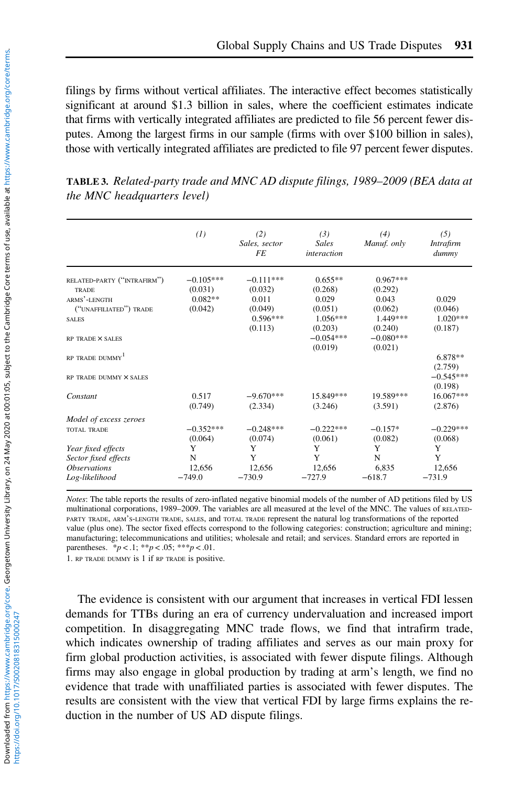<span id="page-18-0"></span>filings by firms without vertical affiliates. The interactive effect becomes statistically significant at around \$1.3 billion in sales, where the coefficient estimates indicate that firms with vertically integrated affiliates are predicted to file 56 percent fewer disputes. Among the largest firms in our sample (firms with over \$100 billion in sales), those with vertically integrated affiliates are predicted to file 97 percent fewer disputes.

|                                                                                                                           | (1)                                            | (2)<br>Sales, sector<br>FE.                                         | (3)<br><b>Sales</b><br>interaction                                               | (4)<br>Manuf. only                                                              | (5)<br><b>Intrafirm</b><br>dummy          |
|---------------------------------------------------------------------------------------------------------------------------|------------------------------------------------|---------------------------------------------------------------------|----------------------------------------------------------------------------------|---------------------------------------------------------------------------------|-------------------------------------------|
| RELATED-PARTY ("INTRAFIRM")<br><b>TRADE</b><br>ARMS'-LENGTH<br>("UNAFFILIATED") TRADE<br><b>SALES</b><br>RP TRADE X SALES | $-0.105***$<br>(0.031)<br>$0.082**$<br>(0.042) | $-0.111***$<br>(0.032)<br>0.011<br>(0.049)<br>$0.596***$<br>(0.113) | $0.655**$<br>(0.268)<br>0.029<br>(0.051)<br>$1.056***$<br>(0.203)<br>$-0.054***$ | $0.967***$<br>(0.292)<br>0.043<br>(0.062)<br>1.449***<br>(0.240)<br>$-0.080***$ | 0.029<br>(0.046)<br>$1.020***$<br>(0.187) |
| RP TRADE DUMMY <sup>1</sup><br>RP TRADE DUMMY X SALES                                                                     |                                                |                                                                     | (0.019)                                                                          | (0.021)                                                                         | $6.878**$<br>(2.759)<br>$-0.545***$       |
| Constant                                                                                                                  | 0.517<br>(0.749)                               | $-9.670***$<br>(2.334)                                              | 15.849***<br>(3.246)                                                             | 19.589***<br>(3.591)                                                            | (0.198)<br>16.067***<br>(2.876)           |
| Model of excess zeroes<br><b>TOTAL TRADE</b>                                                                              | $-0.352***$<br>(0.064)                         | $-0.248***$<br>(0.074)                                              | $-0.222***$<br>(0.061)                                                           | $-0.157*$<br>(0.082)                                                            | $-0.229***$<br>(0.068)                    |
| Year fixed effects<br>Sector fixed effects<br><i><b>Observations</b></i><br>Log-likelihood                                | Y<br>N<br>12,656<br>$-749.0$                   | Y<br>Y<br>12,656<br>$-730.9$                                        | Y<br>Y<br>12.656<br>$-727.9$                                                     | Y<br>N<br>6,835<br>$-618.7$                                                     | Y<br>Y<br>12,656<br>$-731.9$              |

TABLE 3. Related-party trade and MNC AD dispute filings, 1989–2009 (BEA data at the MNC headquarters level)

Notes: The table reports the results of zero-inflated negative binomial models of the number of AD petitions filed by US multinational corporations, 1989–2009. The variables are all measured at the level of the MNC. The values of RELATED-PARTY TRADE, ARM'S-LENGTH TRADE, SALES, and TOTAL TRADE represent the natural log transformations of the reported value (plus one). The sector fixed effects correspond to the following categories: construction; agriculture and mining; manufacturing; telecommunications and utilities; wholesale and retail; and services. Standard errors are reported in parentheses.  $*p < .1; **p < .05; **p < .01$ .

1. RP TRADE DUMMY is 1 if RP TRADE is positive.

The evidence is consistent with our argument that increases in vertical FDI lessen demands for TTBs during an era of currency undervaluation and increased import competition. In disaggregating MNC trade flows, we find that intrafirm trade, which indicates ownership of trading affiliates and serves as our main proxy for firm global production activities, is associated with fewer dispute filings. Although firms may also engage in global production by trading at arm's length, we find no evidence that trade with unaffiliated parties is associated with fewer disputes. The results are consistent with the view that vertical FDI by large firms explains the reduction in the number of US AD dispute filings.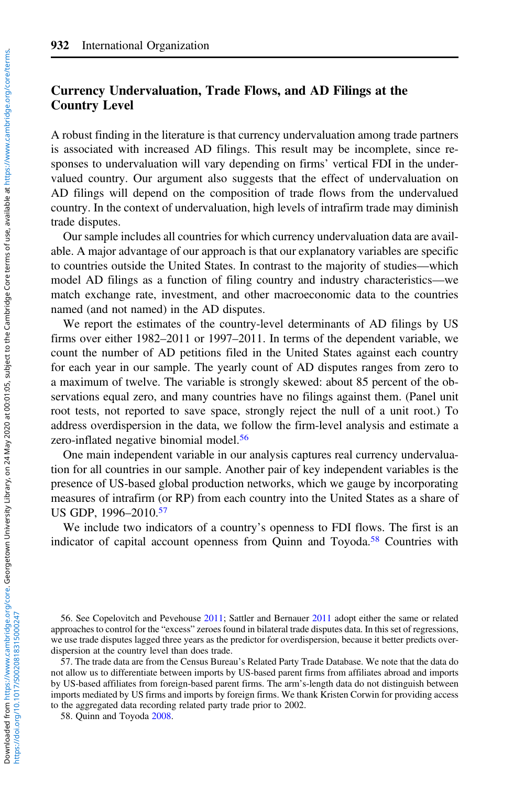# Currency Undervaluation, Trade Flows, and AD Filings at the Country Level

A robust finding in the literature is that currency undervaluation among trade partners is associated with increased AD filings. This result may be incomplete, since responses to undervaluation will vary depending on firms' vertical FDI in the undervalued country. Our argument also suggests that the effect of undervaluation on AD filings will depend on the composition of trade flows from the undervalued country. In the context of undervaluation, high levels of intrafirm trade may diminish trade disputes.

Our sample includes all countries for which currency undervaluation data are available. A major advantage of our approach is that our explanatory variables are specific to countries outside the United States. In contrast to the majority of studies—which model AD filings as a function of filing country and industry characteristics—we match exchange rate, investment, and other macroeconomic data to the countries named (and not named) in the AD disputes.

We report the estimates of the country-level determinants of AD filings by US firms over either 1982–2011 or 1997–2011. In terms of the dependent variable, we count the number of AD petitions filed in the United States against each country for each year in our sample. The yearly count of AD disputes ranges from zero to a maximum of twelve. The variable is strongly skewed: about 85 percent of the observations equal zero, and many countries have no filings against them. (Panel unit root tests, not reported to save space, strongly reject the null of a unit root.) To address overdispersion in the data, we follow the firm-level analysis and estimate a zero-inflated negative binomial model.<sup>56</sup>

One main independent variable in our analysis captures real currency undervaluation for all countries in our sample. Another pair of key independent variables is the presence of US-based global production networks, which we gauge by incorporating measures of intrafirm (or RP) from each country into the United States as a share of US GDP, 1996–2010.<sup>57</sup>

We include two indicators of a country's openness to FDI flows. The first is an indicator of capital account openness from Quinn and Toyoda.<sup>58</sup> Countries with

56. See Copelovitch and Pevehouse [2011](#page-32-0); Sattler and Bernauer [2011](#page-33-0) adopt either the same or related approaches to control for the "excess" zeroes found in bilateral trade disputes data. In this set of regressions, we use trade disputes lagged three years as the predictor for overdispersion, because it better predicts overdispersion at the country level than does trade.

57. The trade data are from the Census Bureau's Related Party Trade Database. We note that the data do not allow us to differentiate between imports by US-based parent firms from affiliates abroad and imports by US-based affiliates from foreign-based parent firms. The arm's-length data do not distinguish between imports mediated by US firms and imports by foreign firms. We thank Kristen Corwin for providing access to the aggregated data recording related party trade prior to 2002.

58. Quinn and Toyoda [2008](#page-33-0).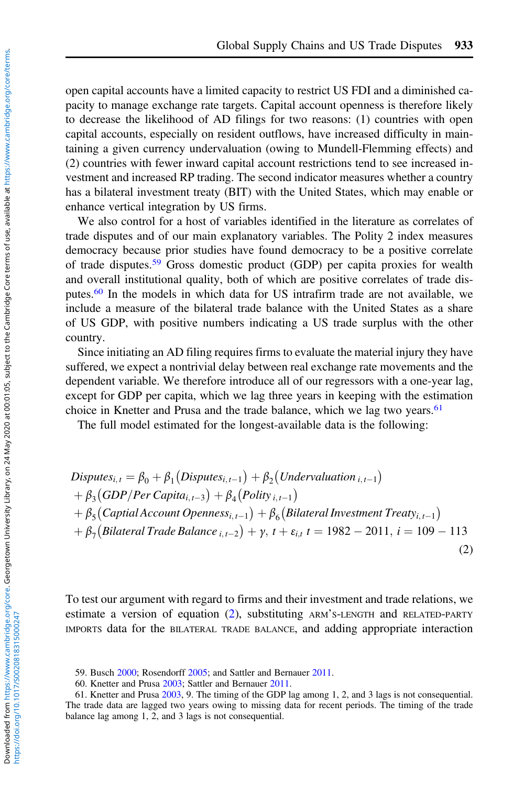open capital accounts have a limited capacity to restrict US FDI and a diminished capacity to manage exchange rate targets. Capital account openness is therefore likely to decrease the likelihood of AD filings for two reasons: (1) countries with open capital accounts, especially on resident outflows, have increased difficulty in maintaining a given currency undervaluation (owing to Mundell-Flemming effects) and (2) countries with fewer inward capital account restrictions tend to see increased investment and increased RP trading. The second indicator measures whether a country has a bilateral investment treaty (BIT) with the United States, which may enable or enhance vertical integration by US firms.

We also control for a host of variables identified in the literature as correlates of trade disputes and of our main explanatory variables. The Polity 2 index measures democracy because prior studies have found democracy to be a positive correlate of trade disputes.<sup>59</sup> Gross domestic product (GDP) per capita proxies for wealth and overall institutional quality, both of which are positive correlates of trade disputes.<sup>60</sup> In the models in which data for US intrafirm trade are not available, we include a measure of the bilateral trade balance with the United States as a share of US GDP, with positive numbers indicating a US trade surplus with the other country.

Since initiating an AD filing requires firms to evaluate the material injury they have suffered, we expect a nontrivial delay between real exchange rate movements and the dependent variable. We therefore introduce all of our regressors with a one-year lag, except for GDP per capita, which we lag three years in keeping with the estimation choice in Knetter and Prusa and the trade balance, which we lag two years.<sup>61</sup>

The full model estimated for the longest-available data is the following:

$$
Disputes_{i,t} = \beta_0 + \beta_1 (Disputes_{i,t-1}) + \beta_2 (Undervaluation_{i,t-1})
$$
  
+  $\beta_3 (GDP/Per Capital_{i,t-3}) + \beta_4 (Polity_{i,t-1})$   
+  $\beta_5 (Capital Account Openness_{i,t-1}) + \beta_6 (Bilateral Investment Treaty_{i,t-1})$   
+  $\beta_7 (Bilateral Trade Balance_{i,t-2}) + \gamma, t + \varepsilon_{i,t} t = 1982 - 2011, i = 109 - 113$  (2)

To test our argument with regard to firms and their investment and trade relations, we estimate a version of equation (2), substituting ARM'S-LENGTH and RELATED-PARTY IMPORTS data for the BILATERAL TRADE BALANCE, and adding appropriate interaction

https://doi.org/10.1017/S0020818315000247

<sup>59.</sup> Busch [2000;](#page-32-0) Rosendorff [2005;](#page-33-0) and Sattler and Bernauer [2011](#page-33-0).

<sup>60.</sup> Knetter and Prusa [2003](#page-33-0); Sattler and Bernauer [2011.](#page-33-0)

<sup>61.</sup> Knetter and Prusa [2003](#page-33-0), 9. The timing of the GDP lag among 1, 2, and 3 lags is not consequential. The trade data are lagged two years owing to missing data for recent periods. The timing of the trade balance lag among 1, 2, and 3 lags is not consequential.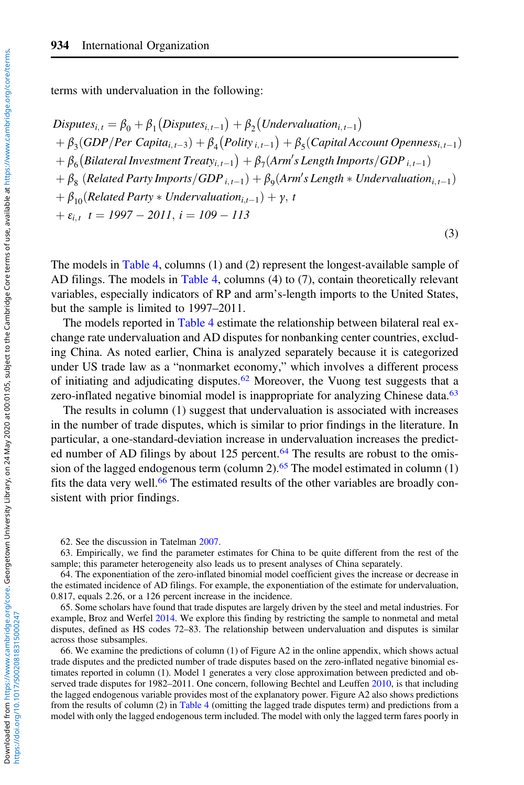terms with undervaluation in the following:

 $Disputes_{i,t} = \beta_0 + \beta_1 (Disputes_{i,t-1}) + \beta_2 (Undervaluation_{i,t-1})$  $+\beta_3 (GDP/Per Capital_{i,t-3}) + \beta_4 (Polity_{i,t-1}) + \beta_5 (Capital Account Openness_{i,t-1})$  ${}+ \beta_6 \bigl(\textit{Bilateral Investment Treaty}_{i,t-1}\bigr) + \beta_7 \bigl(\textit{Arm's Length Imports}/GDP_{i,t-1}\bigr)$  $+\beta_8$  (Related Party Imports/GDP  $_{i,t-1}) + \beta_9(Arm's Length * Undervaluation_{i,t-1})$  $+\beta_{10}$ (Related Party  $*$  Undervaluation<sub>i,t-1</sub>) +  $\gamma$ , t  $+ \varepsilon_{i,t}$  t = 1997 - 2011, i = 109 - 113 (3)

The models in [Table 4,](#page-22-0) columns (1) and (2) represent the longest-available sample of AD filings. The models in [Table 4,](#page-22-0) columns (4) to (7), contain theoretically relevant variables, especially indicators of RP and arm's-length imports to the United States, but the sample is limited to 1997–2011.

The models reported in [Table 4](#page-22-0) estimate the relationship between bilateral real exchange rate undervaluation and AD disputes for nonbanking center countries, excluding China. As noted earlier, China is analyzed separately because it is categorized under US trade law as a "nonmarket economy," which involves a different process of initiating and adjudicating disputes. $62$  Moreover, the Vuong test suggests that a zero-inflated negative binomial model is inappropriate for analyzing Chinese data.<sup>63</sup>

The results in column (1) suggest that undervaluation is associated with increases in the number of trade disputes, which is similar to prior findings in the literature. In particular, a one-standard-deviation increase in undervaluation increases the predicted number of AD filings by about 125 percent.<sup>64</sup> The results are robust to the omission of the lagged endogenous term (column 2).<sup>65</sup> The model estimated in column  $(1)$ fits the data very well.<sup>66</sup> The estimated results of the other variables are broadly consistent with prior findings.

66. We examine the predictions of column (1) of Figure A2 in the online appendix, which shows actual trade disputes and the predicted number of trade disputes based on the zero-inflated negative binomial estimates reported in column (1). Model 1 generates a very close approximation between predicted and ob-served trade disputes for 1982–2011. One concern, following Bechtel and Leuffen [2010,](#page-31-0) is that including the lagged endogenous variable provides most of the explanatory power. Figure A2 also shows predictions from the results of column (2) in [Table 4](#page-22-0) (omitting the lagged trade disputes term) and predictions from a model with only the lagged endogenous term included. The model with only the lagged term fares poorly in

<sup>62.</sup> See the discussion in Tatelman [2007](#page-33-0).

<sup>63.</sup> Empirically, we find the parameter estimates for China to be quite different from the rest of the sample; this parameter heterogeneity also leads us to present analyses of China separately.

<sup>64.</sup> The exponentiation of the zero-inflated binomial model coefficient gives the increase or decrease in the estimated incidence of AD filings. For example, the exponentiation of the estimate for undervaluation, 0.817, equals 2.26, or a 126 percent increase in the incidence.

<sup>65.</sup> Some scholars have found that trade disputes are largely driven by the steel and metal industries. For example, Broz and Werfel [2014](#page-32-0). We explore this finding by restricting the sample to nonmetal and metal disputes, defined as HS codes 72–83. The relationship between undervaluation and disputes is similar across those subsamples.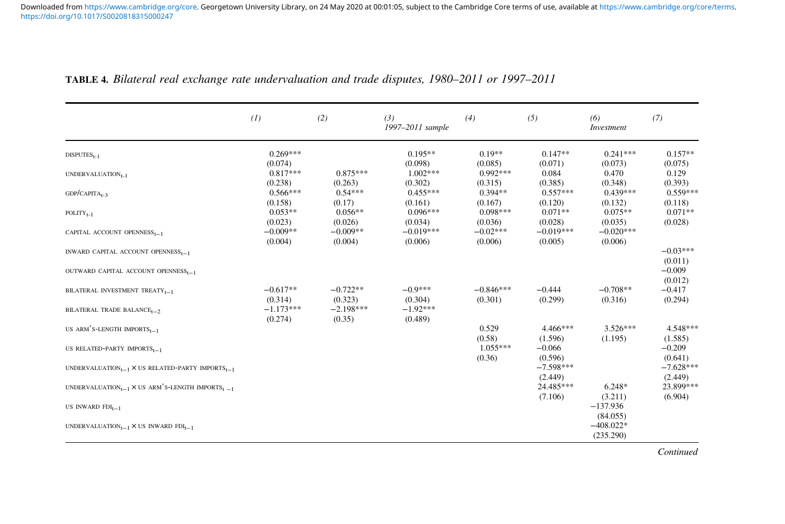<span id="page-22-0"></span>Downloaded from https://www.cambridge.org/core. Georgetown University Library, on 24 May 2020 at 00:01:05, subject to the Cambridge Core terms of use, available at https://www.cambridge.org/core/terms.<br>https://doi.org/10.1

|                                                                                            | (1)                    | (2)                   | (3)<br>1997-2011 sample | (4)                    | (5)                    | (6)<br>Investment        | (7)                    |
|--------------------------------------------------------------------------------------------|------------------------|-----------------------|-------------------------|------------------------|------------------------|--------------------------|------------------------|
| $DISPUTES_{t-1}$                                                                           | $0.269***$<br>(0.074)  |                       | $0.195**$<br>(0.098)    | $0.19**$<br>(0.085)    | $0.147**$<br>(0.071)   | $0.241***$<br>(0.073)    | $0.157**$<br>(0.075)   |
| UNDERVALUATION <sub>t-1</sub>                                                              | $0.817***$<br>(0.238)  | $0.875***$<br>(0.263) | $1.002***$<br>(0.302)   | $0.992***$<br>(0.315)  | 0.084<br>(0.385)       | 0.470<br>(0.348)         | 0.129<br>(0.393)       |
| $GDP/CAPITAt-3$                                                                            | $0.566***$<br>(0.158)  | $0.54***$<br>(0.17)   | $0.455***$<br>(0.161)   | $0.394**$<br>(0.167)   | $0.557***$<br>(0.120)  | $0.439***$<br>(0.132)    | $0.559***$<br>(0.118)  |
| POLITY $_{t-1}$                                                                            | $0.053**$<br>(0.023)   | $0.056**$<br>(0.026)  | $0.096***$<br>(0.034)   | $0.098***$<br>(0.036)  | $0.071**$<br>(0.028)   | $0.075**$<br>(0.035)     | $0.071**$<br>(0.028)   |
| CAPITAL ACCOUNT OPENNESS <sub>1-1</sub>                                                    | $-0.009**$<br>(0.004)  | $-0.009**$<br>(0.004) | $-0.019***$<br>(0.006)  | $-0.02***$<br>(0.006)  | $-0.019***$<br>(0.005) | $-0.020***$<br>(0.006)   |                        |
| INWARD CAPITAL ACCOUNT OPENNESS $_{t-1}$                                                   |                        |                       |                         |                        |                        |                          | $-0.03***$<br>(0.011)  |
| OUTWARD CAPITAL ACCOUNT OPENNESS <sub>t-1</sub>                                            |                        |                       |                         |                        |                        |                          | $-0.009$<br>(0.012)    |
| BILATERAL INVESTMENT TREATY <sub>1-1</sub>                                                 | $-0.617**$<br>(0.314)  | $-0.722**$<br>(0.323) | $-0.9***$<br>(0.304)    | $-0.846***$<br>(0.301) | $-0.444$<br>(0.299)    | $-0.708**$<br>(0.316)    | $-0.417$<br>(0.294)    |
| BILATERAL TRADE BALANCE <sub>1-2</sub>                                                     | $-1.173***$<br>(0.274) | $-2.198***$<br>(0.35) | $-1.92***$<br>(0.489)   |                        |                        |                          |                        |
| US ARM'S-LENGTH IMPORTS $_{t-1}$                                                           |                        |                       |                         | 0.529<br>(0.58)        | $4.466***$<br>(1.596)  | $3.526***$<br>(1.195)    | 4.548***<br>(1.585)    |
| US RELATED-PARTY IMPORTS $_{t-1}$                                                          |                        |                       |                         | $1.055***$<br>(0.36)   | $-0.066$<br>(0.596)    |                          | $-0.209$<br>(0.641)    |
| UNDERVALUATION <sub>1-1</sub> $\times$ US RELATED-PARTY IMPORTS <sub>1-1</sub>             |                        |                       |                         |                        | $-7.598***$<br>(2.449) |                          | $-7.628***$<br>(2.449) |
| UNDERVALUATION <sub>1-1</sub> $\times$ US ARM <sup>2</sup> S-LENGTH IMPORTS <sub>1-1</sub> |                        |                       |                         |                        | 24.485***<br>(7.106)   | $6.248*$<br>(3.211)      | 23.899***<br>(6.904)   |
| US INWARD $FDI_{t-1}$                                                                      |                        |                       |                         |                        |                        | $-137.936$<br>(84.055)   |                        |
| UNDERVALUATION <sub>1-1</sub> $\times$ US INWARD FDI <sub>1-1</sub>                        |                        |                       |                         |                        |                        | $-408.022*$<br>(235.290) |                        |

# TABLE 4. Bilateral real exchange rate undervaluation and trade disputes, 1980–2011 or 1997–2011

Continued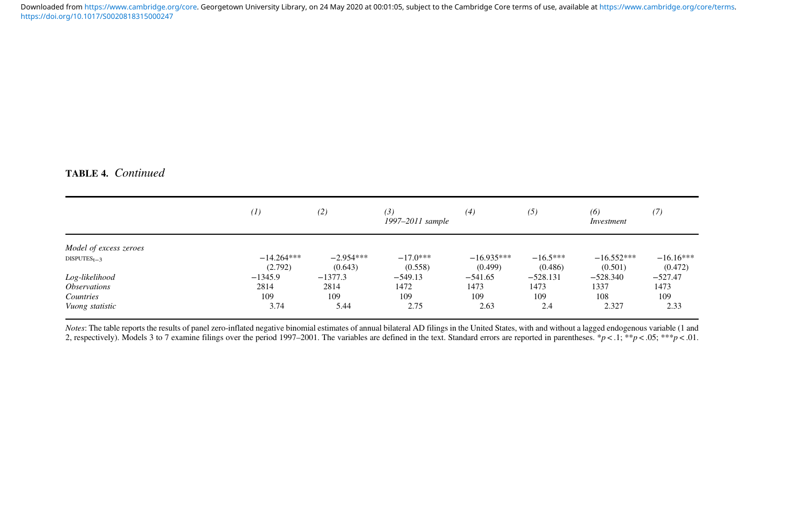https://doi.org/10.1017/S0020818315000247Downloaded from https://www.cambridge.org/core. Georgetown University Library, on 24 May 2020 at 00:01:05, subject to the Cambridge Core terms of use, available at https://www.cambridge.org/core/terms.

#### TABLE 4. Continued

|                                            | (1)          | (2)         | (3)<br>1997–2011 sample | (4)          | (5)        | (6)<br>Investment | (7)         |
|--------------------------------------------|--------------|-------------|-------------------------|--------------|------------|-------------------|-------------|
| Model of excess zeroes<br>$DISPUTES_{t-3}$ | $-14.264***$ | $-2.954***$ | $-17.0***$              | $-16.935***$ | $-16.5***$ | $-16.552***$      | $-16.16***$ |
| Log-likelihood                             | (2.792)      | (0.643)     | (0.558)                 | (0.499)      | (0.486)    | (0.501)           | (0.472)     |
|                                            | $-1345.9$    | $-1377.3$   | $-549.13$               | $-541.65$    | $-528.131$ | $-528.340$        | $-527.47$   |
| <i><b>Observations</b></i>                 | 2814         | 2814        | 1472                    | 1473         | 1473       | 1337              | 1473        |
| Countries                                  | 109          | 109         | 109                     | 109          | 109        | 108               | 109         |
| Vuong statistic                            | 3.74         | 5.44        | 2.75                    | 2.63         | 2.4        | 2.327             | 2.33        |

*Notes*: The table reports the results of panel zero-inflated negative binomial estimates of annual bilateral AD filings in the United States, with and without a lagged endogenous variable (1 and<br>2, respectively). Models 3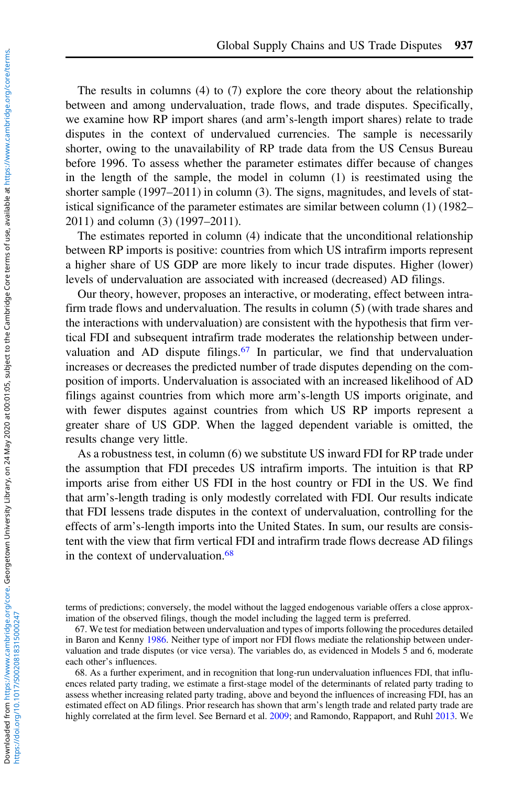The results in columns (4) to (7) explore the core theory about the relationship between and among undervaluation, trade flows, and trade disputes. Specifically, we examine how RP import shares (and arm's-length import shares) relate to trade disputes in the context of undervalued currencies. The sample is necessarily shorter, owing to the unavailability of RP trade data from the US Census Bureau before 1996. To assess whether the parameter estimates differ because of changes in the length of the sample, the model in column (1) is reestimated using the shorter sample (1997–2011) in column (3). The signs, magnitudes, and levels of statistical significance of the parameter estimates are similar between column (1) (1982– 2011) and column (3) (1997–2011).

The estimates reported in column (4) indicate that the unconditional relationship between RP imports is positive: countries from which US intrafirm imports represent a higher share of US GDP are more likely to incur trade disputes. Higher (lower) levels of undervaluation are associated with increased (decreased) AD filings.

Our theory, however, proposes an interactive, or moderating, effect between intrafirm trade flows and undervaluation. The results in column (5) (with trade shares and the interactions with undervaluation) are consistent with the hypothesis that firm vertical FDI and subsequent intrafirm trade moderates the relationship between undervaluation and AD dispute filings. $67$  In particular, we find that undervaluation increases or decreases the predicted number of trade disputes depending on the composition of imports. Undervaluation is associated with an increased likelihood of AD filings against countries from which more arm's-length US imports originate, and with fewer disputes against countries from which US RP imports represent a greater share of US GDP. When the lagged dependent variable is omitted, the results change very little.

As a robustness test, in column (6) we substitute US inward FDI for RP trade under the assumption that FDI precedes US intrafirm imports. The intuition is that RP imports arise from either US FDI in the host country or FDI in the US. We find that arm's-length trading is only modestly correlated with FDI. Our results indicate that FDI lessens trade disputes in the context of undervaluation, controlling for the effects of arm's-length imports into the United States. In sum, our results are consistent with the view that firm vertical FDI and intrafirm trade flows decrease AD filings in the context of undervaluation.<sup>68</sup>

terms of predictions; conversely, the model without the lagged endogenous variable offers a close approximation of the observed filings, though the model including the lagged term is preferred.

67. We test for mediation between undervaluation and types of imports following the procedures detailed in Baron and Kenny [1986](#page-31-0). Neither type of import nor FDI flows mediate the relationship between undervaluation and trade disputes (or vice versa). The variables do, as evidenced in Models 5 and 6, moderate each other's influences.

68. As a further experiment, and in recognition that long-run undervaluation influences FDI, that influences related party trading, we estimate a first-stage model of the determinants of related party trading to assess whether increasing related party trading, above and beyond the influences of increasing FDI, has an estimated effect on AD filings. Prior research has shown that arm's length trade and related party trade are highly correlated at the firm level. See Bernard et al. [2009](#page-32-0); and Ramondo, Rappaport, and Ruhl [2013.](#page-33-0) We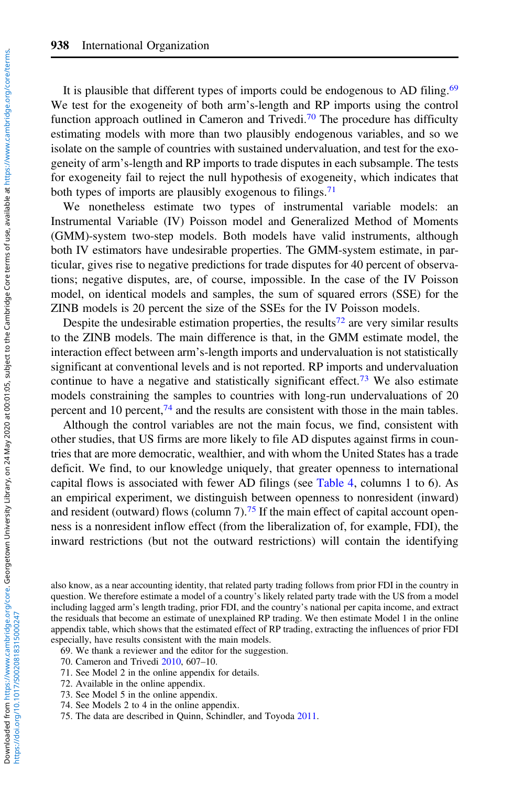It is plausible that different types of imports could be endogenous to AD filing.<sup>69</sup> We test for the exogeneity of both arm's-length and RP imports using the control function approach outlined in Cameron and Trivedi.<sup>70</sup> The procedure has difficulty estimating models with more than two plausibly endogenous variables, and so we isolate on the sample of countries with sustained undervaluation, and test for the exogeneity of arm's-length and RP imports to trade disputes in each subsample. The tests for exogeneity fail to reject the null hypothesis of exogeneity, which indicates that both types of imports are plausibly exogenous to filings.<sup>71</sup>

We nonetheless estimate two types of instrumental variable models: an Instrumental Variable (IV) Poisson model and Generalized Method of Moments (GMM)-system two-step models. Both models have valid instruments, although both IV estimators have undesirable properties. The GMM-system estimate, in particular, gives rise to negative predictions for trade disputes for 40 percent of observations; negative disputes, are, of course, impossible. In the case of the IV Poisson model, on identical models and samples, the sum of squared errors (SSE) for the ZINB models is 20 percent the size of the SSEs for the IV Poisson models.

Despite the undesirable estimation properties, the results<sup>72</sup> are very similar results to the ZINB models. The main difference is that, in the GMM estimate model, the interaction effect between arm's-length imports and undervaluation is not statistically significant at conventional levels and is not reported. RP imports and undervaluation continue to have a negative and statistically significant effect.<sup>73</sup> We also estimate models constraining the samples to countries with long-run undervaluations of 20 percent and 10 percent, $74$  and the results are consistent with those in the main tables.

Although the control variables are not the main focus, we find, consistent with other studies, that US firms are more likely to file AD disputes against firms in countries that are more democratic, wealthier, and with whom the United States has a trade deficit. We find, to our knowledge uniquely, that greater openness to international capital flows is associated with fewer AD filings (see [Table 4,](#page-22-0) columns 1 to 6). As an empirical experiment, we distinguish between openness to nonresident (inward) and resident (outward) flows (column  $7$ ).<sup>75</sup> If the main effect of capital account openness is a nonresident inflow effect (from the liberalization of, for example, FDI), the inward restrictions (but not the outward restrictions) will contain the identifying

also know, as a near accounting identity, that related party trading follows from prior FDI in the country in question. We therefore estimate a model of a country's likely related party trade with the US from a model including lagged arm's length trading, prior FDI, and the country's national per capita income, and extract the residuals that become an estimate of unexplained RP trading. We then estimate Model 1 in the online appendix table, which shows that the estimated effect of RP trading, extracting the influences of prior FDI especially, have results consistent with the main models.

- 69. We thank a reviewer and the editor for the suggestion.
- 70. Cameron and Trivedi [2010](#page-32-0), 607–10.
- 71. See Model 2 in the online appendix for details.
- 72. Available in the online appendix.
- 73. See Model 5 in the online appendix.
- 74. See Models 2 to 4 in the online appendix.
- 75. The data are described in Quinn, Schindler, and Toyoda [2011](#page-33-0).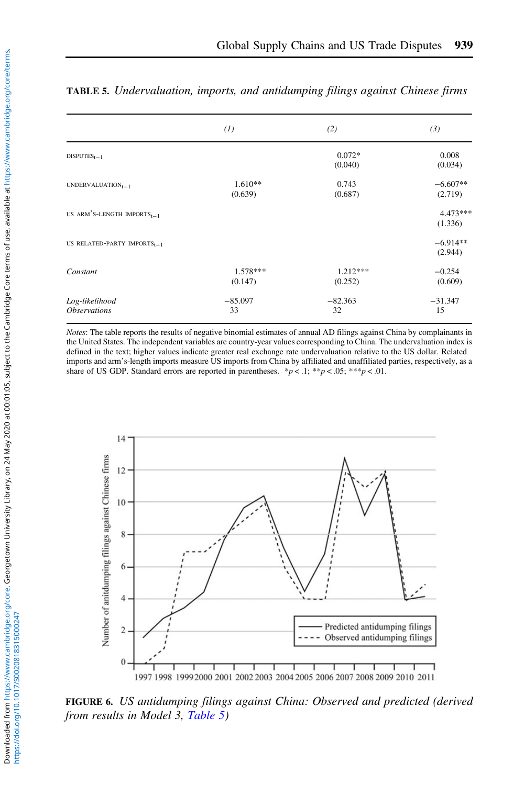|                                              | (1)                   | (2)                   | (3)                   |
|----------------------------------------------|-----------------------|-----------------------|-----------------------|
| $DISPUTES_{t-1}$                             |                       | $0.072*$<br>(0.040)   | 0.008<br>(0.034)      |
| UNDERVALUATION <sub>1-1</sub>                | $1.610**$<br>(0.639)  | 0.743<br>(0.687)      | $-6.607**$<br>(2.719) |
| US ARM'S-LENGTH IMPORTS $_{t-1}$             |                       |                       | 4.473***<br>(1.336)   |
| US RELATED-PARTY IMPORTS $_{t-1}$            |                       |                       | $-6.914**$<br>(2.944) |
| Constant                                     | $1.578***$<br>(0.147) | $1.212***$<br>(0.252) | $-0.254$<br>(0.609)   |
| Log-likelihood<br><i><b>Observations</b></i> | $-85.097$<br>33       | $-82.363$<br>32       | $-31.347$<br>15       |

# <span id="page-26-0"></span>TABLE 5. Undervaluation, imports, and antidumping filings against Chinese firms

Notes: The table reports the results of negative binomial estimates of annual AD filings against China by complainants in the United States. The independent variables are country-year values corresponding to China. The undervaluation index is defined in the text; higher values indicate greater real exchange rate undervaluation relative to the US dollar. Related imports and arm's-length imports measure US imports from China by affiliated and unaffiliated parties, respectively, as a share of US GDP. Standard errors are reported in parentheses.  $*p < 0.1$ ;  $**p < 0.05$ ;  $***p < 0.01$ .



FIGURE 6. US antidumping filings against China: Observed and predicted (derived from results in Model 3, Table 5)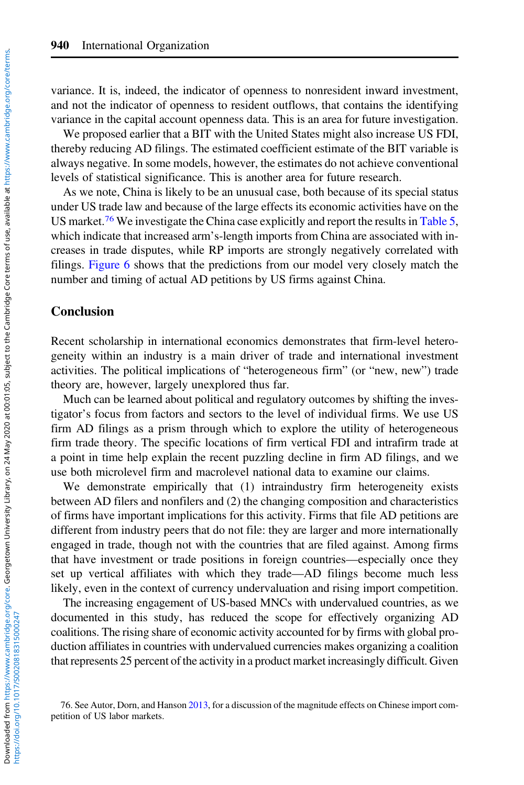variance. It is, indeed, the indicator of openness to nonresident inward investment, and not the indicator of openness to resident outflows, that contains the identifying variance in the capital account openness data. This is an area for future investigation.

We proposed earlier that a BIT with the United States might also increase US FDI, thereby reducing AD filings. The estimated coefficient estimate of the BIT variable is always negative. In some models, however, the estimates do not achieve conventional levels of statistical significance. This is another area for future research.

As we note, China is likely to be an unusual case, both because of its special status under US trade law and because of the large effects its economic activities have on the US market.<sup>76</sup> We investigate the China case explicitly and report the results in [Table 5](#page-26-0), which indicate that increased arm's-length imports from China are associated with increases in trade disputes, while RP imports are strongly negatively correlated with filings. [Figure 6](#page-26-0) shows that the predictions from our model very closely match the number and timing of actual AD petitions by US firms against China.

# Conclusion

Recent scholarship in international economics demonstrates that firm-level heterogeneity within an industry is a main driver of trade and international investment activities. The political implications of "heterogeneous firm" (or "new, new") trade theory are, however, largely unexplored thus far.

Much can be learned about political and regulatory outcomes by shifting the investigator's focus from factors and sectors to the level of individual firms. We use US firm AD filings as a prism through which to explore the utility of heterogeneous firm trade theory. The specific locations of firm vertical FDI and intrafirm trade at a point in time help explain the recent puzzling decline in firm AD filings, and we use both microlevel firm and macrolevel national data to examine our claims.

We demonstrate empirically that (1) intraindustry firm heterogeneity exists between AD filers and nonfilers and (2) the changing composition and characteristics of firms have important implications for this activity. Firms that file AD petitions are different from industry peers that do not file: they are larger and more internationally engaged in trade, though not with the countries that are filed against. Among firms that have investment or trade positions in foreign countries—especially once they set up vertical affiliates with which they trade—AD filings become much less likely, even in the context of currency undervaluation and rising import competition.

The increasing engagement of US-based MNCs with undervalued countries, as we documented in this study, has reduced the scope for effectively organizing AD coalitions. The rising share of economic activity accounted for by firms with global production affiliates in countries with undervalued currencies makes organizing a coalition that represents 25 percent of the activity in a product market increasingly difficult. Given

<sup>76.</sup> See Autor, Dorn, and Hanson [2013](#page-31-0), for a discussion of the magnitude effects on Chinese import competition of US labor markets.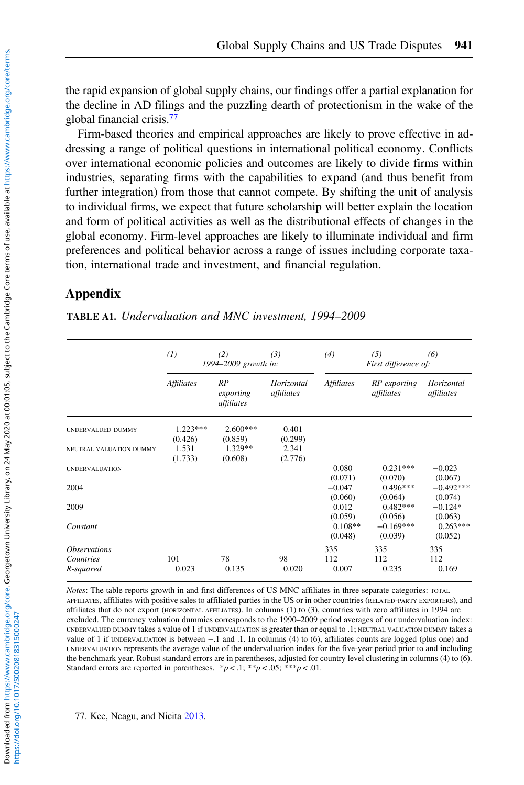<span id="page-28-0"></span>the rapid expansion of global supply chains, our findings offer a partial explanation for the decline in AD filings and the puzzling dearth of protectionism in the wake of the global financial crisis.77

Firm-based theories and empirical approaches are likely to prove effective in addressing a range of political questions in international political economy. Conflicts over international economic policies and outcomes are likely to divide firms within industries, separating firms with the capabilities to expand (and thus benefit from further integration) from those that cannot compete. By shifting the unit of analysis to individual firms, we expect that future scholarship will better explain the location and form of political activities as well as the distributional effects of changes in the global economy. Firm-level approaches are likely to illuminate individual and firm preferences and political behavior across a range of issues including corporate taxation, international trade and investment, and financial regulation.

# Appendix

|                            | (1)<br>(3)<br>(2)<br>1994-2009 growth in: |                               | (4)<br>(6)<br>(5)<br>First difference of: |                                 |                                   |                                  |
|----------------------------|-------------------------------------------|-------------------------------|-------------------------------------------|---------------------------------|-----------------------------------|----------------------------------|
|                            | <b>Affiliates</b>                         | RP<br>exporting<br>affiliates | Horizontal<br>affiliates                  | <b>Affiliates</b>               | RP exporting<br>affiliates        | Horizontal<br>affiliates         |
| UNDERVALUED DUMMY          | $1.223***$<br>(0.426)                     | $2.600***$<br>(0.859)         | 0.401<br>(0.299)                          |                                 |                                   |                                  |
| NEUTRAL VALUATION DUMMY    | 1.531<br>(1.733)                          | $1.329**$<br>(0.608)          | 2.341<br>(2.776)                          |                                 |                                   |                                  |
| <b>UNDERVALUATION</b>      |                                           |                               |                                           | 0.080<br>(0.071)                | $0.231***$<br>(0.070)             | $-0.023$<br>(0.067)              |
| 2004                       |                                           |                               |                                           | $-0.047$<br>(0.060)             | $0.496***$<br>(0.064)             | $-0.492***$<br>(0.074)           |
| 2009                       |                                           |                               |                                           | 0.012                           | $0.482***$                        | $-0.124*$                        |
| Constant                   |                                           |                               |                                           | (0.059)<br>$0.108**$<br>(0.048) | (0.056)<br>$-0.169***$<br>(0.039) | (0.063)<br>$0.263***$<br>(0.052) |
| <i><b>Observations</b></i> |                                           |                               |                                           | 335                             | 335                               | 335                              |
| <b>Countries</b>           | 101                                       | 78                            | 98                                        | 112                             | 112                               | 112                              |
| R-squared                  | 0.023                                     | 0.135                         | 0.020                                     | 0.007                           | 0.235                             | 0.169                            |

TABLE A1. Undervaluation and MNC investment, 1994–2009

Notes: The table reports growth in and first differences of US MNC affiliates in three separate categories: TOTAL AFFILIATES, affiliates with positive sales to affiliated parties in the US or in other countries (RELATED-PARTY EXPORTERS), and affiliates that do not export (HORIZONTAL AFFILIATES). In columns (1) to (3), countries with zero affiliates in 1994 are excluded. The currency valuation dummies corresponds to the 1990–2009 period averages of our undervaluation index: UNDERVALUED DUMMY takes a value of 1 if UNDERVALUATION is greater than or equal to .1; NEUTRAL VALUATION DUMMY takes a value of 1 if UNDERVALUATION is between −.1 and .1. In columns (4) to (6), affiliates counts are logged (plus one) and UNDERVALUATION represents the average value of the undervaluation index for the five-year period prior to and including the benchmark year. Robust standard errors are in parentheses, adjusted for country level clustering in columns (4) to (6). Standard errors are reported in parentheses.  $\frac{*p}{<}$ .1;  $\frac{**p}{<}$ .05;  $\frac{**p}{<}$ .01.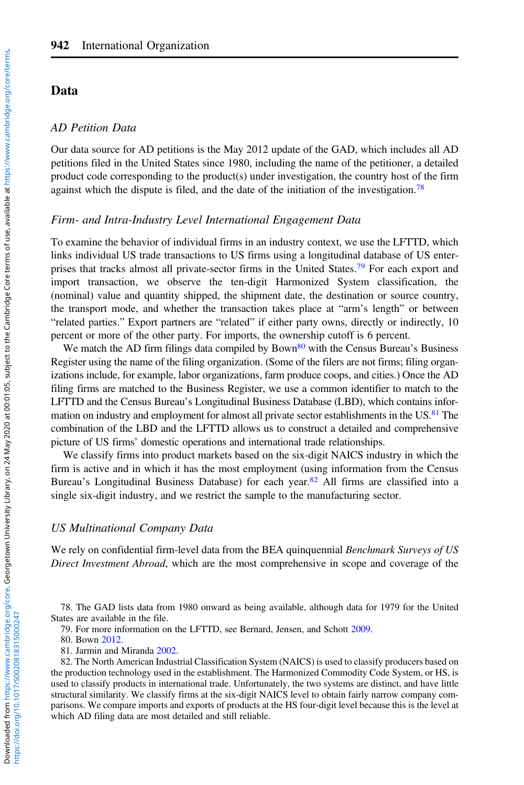# Data

#### AD Petition Data

Our data source for AD petitions is the May 2012 update of the GAD, which includes all AD petitions filed in the United States since 1980, including the name of the petitioner, a detailed product code corresponding to the product(s) under investigation, the country host of the firm against which the dispute is filed, and the date of the initiation of the investigation.<sup>78</sup>

#### Firm- and Intra-Industry Level International Engagement Data

To examine the behavior of individual firms in an industry context, we use the LFTTD, which links individual US trade transactions to US firms using a longitudinal database of US enterprises that tracks almost all private-sector firms in the United States.<sup>79</sup> For each export and import transaction, we observe the ten-digit Harmonized System classification, the (nominal) value and quantity shipped, the shipment date, the destination or source country, the transport mode, and whether the transaction takes place at "arm's length" or between "related parties." Export partners are "related" if either party owns, directly or indirectly, 10 percent or more of the other party. For imports, the ownership cutoff is 6 percent.

We match the AD firm filings data compiled by  $Bown^{80}$  with the Census Bureau's Business Register using the name of the filing organization. (Some of the filers are not firms; filing organizations include, for example, labor organizations, farm produce coops, and cities.) Once the AD filing firms are matched to the Business Register, we use a common identifier to match to the LFTTD and the Census Bureau's Longitudinal Business Database (LBD), which contains information on industry and employment for almost all private sector establishments in the US.81 The combination of the LBD and the LFTTD allows us to construct a detailed and comprehensive picture of US firms' domestic operations and international trade relationships.

We classify firms into product markets based on the six-digit NAICS industry in which the firm is active and in which it has the most employment (using information from the Census Bureau's Longitudinal Business Database) for each year.<sup>82</sup> All firms are classified into a single six-digit industry, and we restrict the sample to the manufacturing sector.

#### US Multinational Company Data

We rely on confidential firm-level data from the BEA quinquennial Benchmark Surveys of US Direct Investment Abroad, which are the most comprehensive in scope and coverage of the

78. The GAD lists data from 1980 onward as being available, although data for 1979 for the United States are available in the file.

79. For more information on the LFTTD, see Bernard, Jensen, and Schott [2009](#page-32-0).

81. Jarmin and Miranda [2002](#page-33-0).

82. The North American Industrial Classification System (NAICS) is used to classify producers based on the production technology used in the establishment. The Harmonized Commodity Code System, or HS, is used to classify products in international trade. Unfortunately, the two systems are distinct, and have little structural similarity. We classify firms at the six-digit NAICS level to obtain fairly narrow company comparisons. We compare imports and exports of products at the HS four-digit level because this is the level at which AD filing data are most detailed and still reliable.

<sup>80.</sup> Bown [2012.](#page-32-0)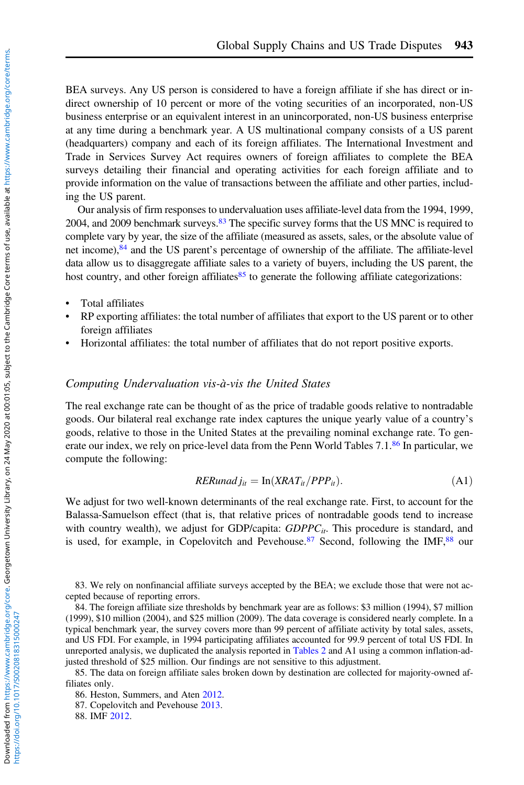BEA surveys. Any US person is considered to have a foreign affiliate if she has direct or indirect ownership of 10 percent or more of the voting securities of an incorporated, non-US business enterprise or an equivalent interest in an unincorporated, non-US business enterprise at any time during a benchmark year. A US multinational company consists of a US parent (headquarters) company and each of its foreign affiliates. The International Investment and Trade in Services Survey Act requires owners of foreign affiliates to complete the BEA surveys detailing their financial and operating activities for each foreign affiliate and to provide information on the value of transactions between the affiliate and other parties, including the US parent.

Our analysis of firm responses to undervaluation uses affiliate-level data from the 1994, 1999, 2004, and 2009 benchmark surveys.<sup>83</sup> The specific survey forms that the US MNC is required to complete vary by year, the size of the affiliate (measured as assets, sales, or the absolute value of net income),<sup>84</sup> and the US parent's percentage of ownership of the affiliate. The affiliate-level data allow us to disaggregate affiliate sales to a variety of buyers, including the US parent, the host country, and other foreign affiliates<sup>85</sup> to generate the following affiliate categorizations:

- Total affiliates
- RP exporting affiliates: the total number of affiliates that export to the US parent or to other foreign affiliates
- Horizontal affiliates: the total number of affiliates that do not report positive exports.

#### Computing Undervaluation vis-à-vis the United States

The real exchange rate can be thought of as the price of tradable goods relative to nontradable goods. Our bilateral real exchange rate index captures the unique yearly value of a country's goods, relative to those in the United States at the prevailing nominal exchange rate. To generate our index, we rely on price-level data from the Penn World Tables 7.1.<sup>86</sup> In particular, we compute the following:

$$
RERunadj_{it} = \text{In}(XRAT_{it}/PPP_{it}).\tag{A1}
$$

We adjust for two well-known determinants of the real exchange rate. First, to account for the Balassa-Samuelson effect (that is, that relative prices of nontradable goods tend to increase with country wealth), we adjust for GDP/capita:  $GDPPC_{it}$ . This procedure is standard, and is used, for example, in Copelovitch and Pevehouse.<sup>87</sup> Second, following the IMF, $88$  our

83. We rely on nonfinancial affiliate surveys accepted by the BEA; we exclude those that were not accepted because of reporting errors.

84. The foreign affiliate size thresholds by benchmark year are as follows: \$3 million (1994), \$7 million (1999), \$10 million (2004), and \$25 million (2009). The data coverage is considered nearly complete. In a typical benchmark year, the survey covers more than 99 percent of affiliate activity by total sales, assets, and US FDI. For example, in 1994 participating affiliates accounted for 99.9 percent of total US FDI. In unreported analysis, we duplicated the analysis reported in [Tables 2](#page-15-0) and A1 using a common inflation-adjusted threshold of \$25 million. Our findings are not sensitive to this adjustment.

85. The data on foreign affiliate sales broken down by destination are collected for majority-owned affiliates only.

86. Heston, Summers, and Aten [2012.](#page-32-0)

87. Copelovitch and Pevehouse [2013.](#page-32-0)

88. IMF [2012.](#page-32-0)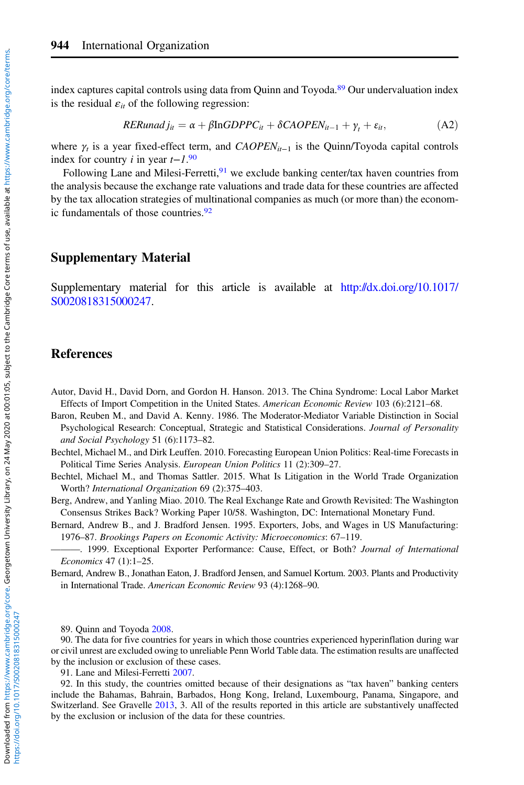https://doi.org/10.1017/S0020818315000247

<span id="page-31-0"></span>index captures capital controls using data from Quinn and Toyoda.<sup>89</sup> Our undervaluation index is the residual  $\varepsilon_{it}$  of the following regression:

$$
RERunadj_{it} = \alpha + \beta InGDPPC_{it} + \delta CAOPEN_{it-1} + \gamma_t + \varepsilon_{it}, \tag{A2}
$$

where  $\gamma_t$  is a year fixed-effect term, and  $CAOPEN_{it-1}$  is the Quinn/Toyoda capital controls index for country *i* in year  $t-1.90$ 

Following Lane and Milesi-Ferretti,  $9<sup>1</sup>$  we exclude banking center/tax haven countries from the analysis because the exchange rate valuations and trade data for these countries are affected by the tax allocation strategies of multinational companies as much (or more than) the economic fundamentals of those countries.<sup>92</sup>

# Supplementary Material

Supplementary material for this article is available at [http://dx.doi.org/10.1017/](http://dx.doi.org/10.1017/S0020818315000247) [S0020818315000247.](http://dx.doi.org/10.1017/S0020818315000247)

# References

- Baron, Reuben M., and David A. Kenny. 1986. The Moderator-Mediator Variable Distinction in Social Psychological Research: Conceptual, Strategic and Statistical Considerations. Journal of Personality and Social Psychology 51 (6):1173–82.
- Bechtel, Michael M., and Dirk Leuffen. 2010. Forecasting European Union Politics: Real-time Forecasts in Political Time Series Analysis. European Union Politics 11 (2):309–27.
- Bechtel, Michael M., and Thomas Sattler. 2015. What Is Litigation in the World Trade Organization Worth? International Organization 69 (2):375–403.
- Berg, Andrew, and Yanling Miao. 2010. The Real Exchange Rate and Growth Revisited: The Washington Consensus Strikes Back? Working Paper 10/58. Washington, DC: International Monetary Fund.
- Bernard, Andrew B., and J. Bradford Jensen. 1995. Exporters, Jobs, and Wages in US Manufacturing: 1976–87. Brookings Papers on Economic Activity: Microeconomics: 67–119.
	- ———. 1999. Exceptional Exporter Performance: Cause, Effect, or Both? Journal of International Economics 47 (1):1–25.
- Bernard, Andrew B., Jonathan Eaton, J. Bradford Jensen, and Samuel Kortum. 2003. Plants and Productivity in International Trade. American Economic Review 93 (4):1268–90.

89. Quinn and Toyoda [2008](#page-33-0).

90. The data for five countries for years in which those countries experienced hyperinflation during war or civil unrest are excluded owing to unreliable Penn World Table data. The estimation results are unaffected by the inclusion or exclusion of these cases.

91. Lane and Milesi-Ferretti [2007](#page-33-0).

92. In this study, the countries omitted because of their designations as "tax haven" banking centers include the Bahamas, Bahrain, Barbados, Hong Kong, Ireland, Luxembourg, Panama, Singapore, and Switzerland. See Gravelle [2013,](#page-32-0) 3. All of the results reported in this article are substantively unaffected by the exclusion or inclusion of the data for these countries.

Autor, David H., David Dorn, and Gordon H. Hanson. 2013. The China Syndrome: Local Labor Market Effects of Import Competition in the United States. American Economic Review 103 (6):2121–68.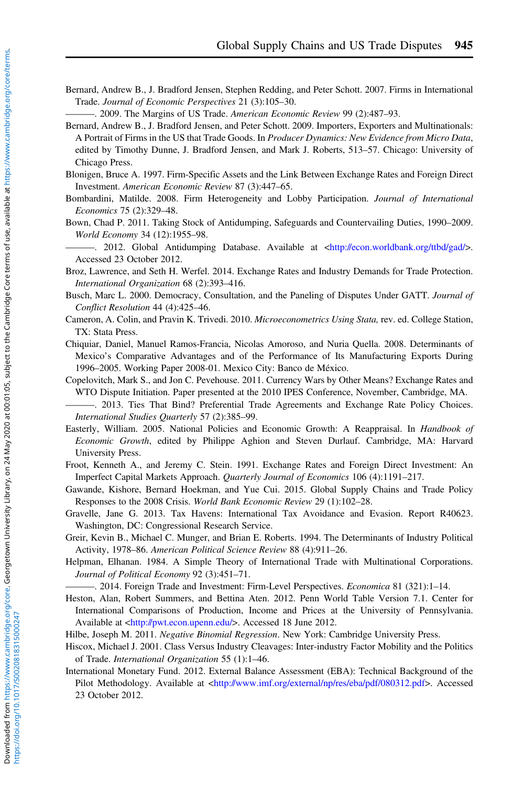<span id="page-32-0"></span>Bernard, Andrew B., J. Bradford Jensen, Stephen Redding, and Peter Schott. 2007. Firms in International Trade. Journal of Economic Perspectives 21 (3):105–30.

-. 2009. The Margins of US Trade. American Economic Review 99 (2):487-93.

- Bernard, Andrew B., J. Bradford Jensen, and Peter Schott. 2009. Importers, Exporters and Multinationals: A Portrait of Firms in the US that Trade Goods. In Producer Dynamics: New Evidence from Micro Data, edited by Timothy Dunne, J. Bradford Jensen, and Mark J. Roberts, 513–57. Chicago: University of Chicago Press.
- Blonigen, Bruce A. 1997. Firm-Specific Assets and the Link Between Exchange Rates and Foreign Direct Investment. American Economic Review 87 (3):447–65.
- Bombardini, Matilde. 2008. Firm Heterogeneity and Lobby Participation. Journal of International Economics 75 (2):329–48.
- Bown, Chad P. 2011. Taking Stock of Antidumping, Safeguards and Countervailing Duties, 1990–2009. World Economy 34 (12):1955–98.
- -. 2012. Global Antidumping Database. Available at <[http://econ.worldbank.org/ttbd/gad/>](http://econ.worldbank.org/ttbd/gad/). Accessed 23 October 2012.
- Broz, Lawrence, and Seth H. Werfel. 2014. Exchange Rates and Industry Demands for Trade Protection. International Organization 68 (2):393–416.
- Busch, Marc L. 2000. Democracy, Consultation, and the Paneling of Disputes Under GATT. Journal of Conflict Resolution 44 (4):425–46.
- Cameron, A. Colin, and Pravin K. Trivedi. 2010. Microeconometrics Using Stata, rev. ed. College Station, TX: Stata Press.
- Chiquiar, Daniel, Manuel Ramos-Francia, Nicolas Amoroso, and Nuria Quella. 2008. Determinants of Mexico's Comparative Advantages and of the Performance of Its Manufacturing Exports During 1996–2005. Working Paper 2008-01. Mexico City: Banco de México.
- Copelovitch, Mark S., and Jon C. Pevehouse. 2011. Currency Wars by Other Means? Exchange Rates and WTO Dispute Initiation. Paper presented at the 2010 IPES Conference, November, Cambridge, MA.
- ———. 2013. Ties That Bind? Preferential Trade Agreements and Exchange Rate Policy Choices. International Studies Quarterly 57 (2):385–99.
- Easterly, William. 2005. National Policies and Economic Growth: A Reappraisal. In Handbook of Economic Growth, edited by Philippe Aghion and Steven Durlauf. Cambridge, MA: Harvard University Press.
- Froot, Kenneth A., and Jeremy C. Stein. 1991. Exchange Rates and Foreign Direct Investment: An Imperfect Capital Markets Approach. Quarterly Journal of Economics 106 (4):1191–217.
- Gawande, Kishore, Bernard Hoekman, and Yue Cui. 2015. Global Supply Chains and Trade Policy Responses to the 2008 Crisis. World Bank Economic Review 29 (1):102–28.
- Gravelle, Jane G. 2013. Tax Havens: International Tax Avoidance and Evasion. Report R40623. Washington, DC: Congressional Research Service.
- Greir, Kevin B., Michael C. Munger, and Brian E. Roberts. 1994. The Determinants of Industry Political Activity, 1978–86. American Political Science Review 88 (4):911–26.
- Helpman, Elhanan. 1984. A Simple Theory of International Trade with Multinational Corporations. Journal of Political Economy 92 (3):451–71.

———. 2014. Foreign Trade and Investment: Firm-Level Perspectives. Economica 81 (321):1–14.

- Heston, Alan, Robert Summers, and Bettina Aten. 2012. Penn World Table Version 7.1. Center for International Comparisons of Production, Income and Prices at the University of Pennsylvania. Available at <<http://pwt.econ.upenn.edu/>>. Accessed 18 June 2012.
- Hilbe, Joseph M. 2011. Negative Binomial Regression. New York: Cambridge University Press.
- Hiscox, Michael J. 2001. Class Versus Industry Cleavages: Inter-industry Factor Mobility and the Politics of Trade. International Organization 55 (1):1–46.
- International Monetary Fund. 2012. External Balance Assessment (EBA): Technical Background of the Pilot Methodology. Available at [<http://www.imf.org/external/np/res/eba/pdf/080312.pdf](http://www.imf.org/external/np/res/eba/pdf/080312.pdf)>. Accessed 23 October 2012.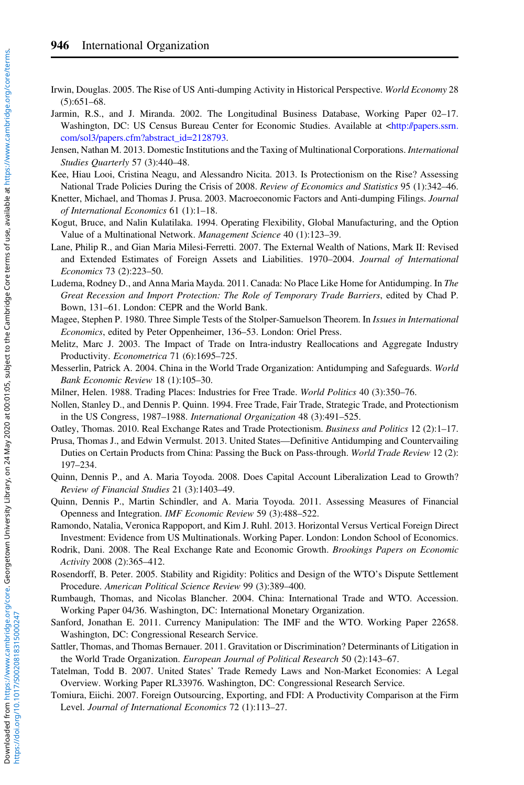- <span id="page-33-0"></span>Irwin, Douglas. 2005. The Rise of US Anti-dumping Activity in Historical Perspective. World Economy 28  $(5):651-68.$
- Jarmin, R.S., and J. Miranda. 2002. The Longitudinal Business Database, Working Paper 02–17. Washington, DC: US Census Bureau Center for Economic Studies. Available at <[http://papers.ssrn.](http://papers.ssrn.com/sol3/papers.cfm?abstract_id=2128793) [com/sol3/papers.cfm?abstract\\_id=2128793](http://papers.ssrn.com/sol3/papers.cfm?abstract_id=2128793).
- Jensen, Nathan M. 2013. Domestic Institutions and the Taxing of Multinational Corporations. International Studies Quarterly 57 (3):440–48.
- Kee, Hiau Looi, Cristina Neagu, and Alessandro Nicita. 2013. Is Protectionism on the Rise? Assessing National Trade Policies During the Crisis of 2008. Review of Economics and Statistics 95 (1):342–46.
- Knetter, Michael, and Thomas J. Prusa. 2003. Macroeconomic Factors and Anti-dumping Filings. Journal of International Economics 61 (1):1–18.
- Kogut, Bruce, and Nalin Kulatilaka. 1994. Operating Flexibility, Global Manufacturing, and the Option Value of a Multinational Network. Management Science 40 (1):123-39.
- Lane, Philip R., and Gian Maria Milesi-Ferretti. 2007. The External Wealth of Nations, Mark II: Revised and Extended Estimates of Foreign Assets and Liabilities. 1970–2004. Journal of International Economics 73 (2):223–50.
- Ludema, Rodney D., and Anna Maria Mayda. 2011. Canada: No Place Like Home for Antidumping. In The Great Recession and Import Protection: The Role of Temporary Trade Barriers, edited by Chad P. Bown, 131–61. London: CEPR and the World Bank.
- Magee, Stephen P. 1980. Three Simple Tests of the Stolper-Samuelson Theorem. In Issues in International Economics, edited by Peter Oppenheimer, 136–53. London: Oriel Press.
- Melitz, Marc J. 2003. The Impact of Trade on Intra-industry Reallocations and Aggregate Industry Productivity. Econometrica 71 (6):1695–725.
- Messerlin, Patrick A. 2004. China in the World Trade Organization: Antidumping and Safeguards. World Bank Economic Review 18 (1):105–30.
- Milner, Helen. 1988. Trading Places: Industries for Free Trade. World Politics 40 (3):350–76.
- Nollen, Stanley D., and Dennis P. Quinn. 1994. Free Trade, Fair Trade, Strategic Trade, and Protectionism in the US Congress, 1987–1988. International Organization 48 (3):491–525.
- Oatley, Thomas. 2010. Real Exchange Rates and Trade Protectionism. Business and Politics 12 (2):1–17.
- Prusa, Thomas J., and Edwin Vermulst. 2013. United States—Definitive Antidumping and Countervailing Duties on Certain Products from China: Passing the Buck on Pass-through. World Trade Review 12 (2): 197–234.
- Quinn, Dennis P., and A. Maria Toyoda. 2008. Does Capital Account Liberalization Lead to Growth? Review of Financial Studies 21 (3):1403–49.
- Quinn, Dennis P., Martin Schindler, and A. Maria Toyoda. 2011. Assessing Measures of Financial Openness and Integration. IMF Economic Review 59 (3):488–522.
- Ramondo, Natalia, Veronica Rappoport, and Kim J. Ruhl. 2013. Horizontal Versus Vertical Foreign Direct Investment: Evidence from US Multinationals. Working Paper. London: London School of Economics.
- Rodrik, Dani. 2008. The Real Exchange Rate and Economic Growth. Brookings Papers on Economic Activity 2008 (2):365–412.
- Rosendorff, B. Peter. 2005. Stability and Rigidity: Politics and Design of the WTO's Dispute Settlement Procedure. American Political Science Review 99 (3):389–400.
- Rumbaugh, Thomas, and Nicolas Blancher. 2004. China: International Trade and WTO. Accession. Working Paper 04/36. Washington, DC: International Monetary Organization.
- Sanford, Jonathan E. 2011. Currency Manipulation: The IMF and the WTO. Working Paper 22658. Washington, DC: Congressional Research Service.
- Sattler, Thomas, and Thomas Bernauer. 2011. Gravitation or Discrimination? Determinants of Litigation in the World Trade Organization. European Journal of Political Research 50 (2):143-67.
- Tatelman, Todd B. 2007. United States' Trade Remedy Laws and Non-Market Economies: A Legal Overview. Working Paper RL33976. Washington, DC: Congressional Research Service.
- Tomiura, Eiichi. 2007. Foreign Outsourcing, Exporting, and FDI: A Productivity Comparison at the Firm Level. Journal of International Economics 72 (1):113–27.